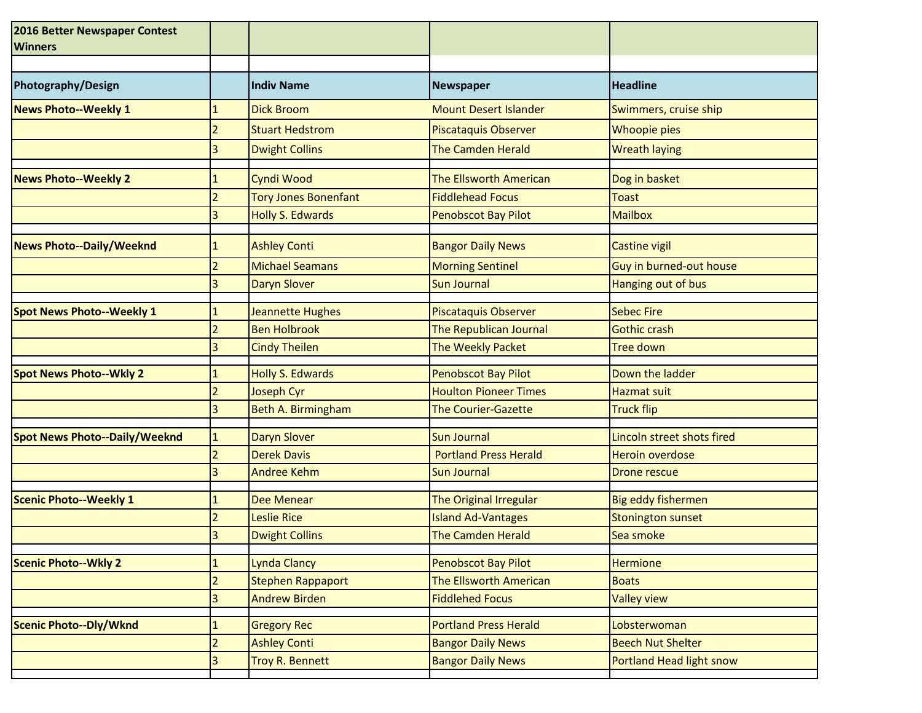| 2016 Better Newspaper Contest<br><b>Winners</b> |                     |                          |                              |                            |
|-------------------------------------------------|---------------------|--------------------------|------------------------------|----------------------------|
| Photography/Design                              |                     | <b>Indiv Name</b>        | Newspaper                    | <b>Headline</b>            |
| <b>News Photo--Weekly 1</b>                     | 1                   | <b>Dick Broom</b>        | <b>Mount Desert Islander</b> | Swimmers, cruise ship      |
|                                                 | 2                   | <b>Stuart Hedstrom</b>   | <b>Piscataquis Observer</b>  | Whoopie pies               |
|                                                 | 3                   | <b>Dwight Collins</b>    | <b>The Camden Herald</b>     | <b>Wreath laying</b>       |
| <b>News Photo--Weekly 2</b>                     |                     | Cyndi Wood               | The Ellsworth American       | Dog in basket              |
|                                                 | 2                   | Tory Jones Bonenfant     | <b>Fiddlehead Focus</b>      | <b>Toast</b>               |
|                                                 | 3                   | <b>Holly S. Edwards</b>  | <b>Penobscot Bay Pilot</b>   | <b>Mailbox</b>             |
| <b>News Photo--Daily/Weeknd</b>                 | 1                   | <b>Ashley Conti</b>      | <b>Bangor Daily News</b>     | <b>Castine vigil</b>       |
|                                                 | $\overline{2}$      | <b>Michael Seamans</b>   | <b>Morning Sentinel</b>      | Guy in burned-out house    |
|                                                 |                     | <b>Daryn Slover</b>      | <b>Sun Journal</b>           | Hanging out of bus         |
| <b>Spot News Photo--Weekly 1</b>                |                     | Jeannette Hughes         | Piscataquis Observer         | <b>Sebec Fire</b>          |
|                                                 | $\overline{2}$      | <b>Ben Holbrook</b>      | The Republican Journal       | <b>Gothic crash</b>        |
|                                                 | 3                   | <b>Cindy Theilen</b>     | The Weekly Packet            | <b>Tree down</b>           |
| <b>Spot News Photo--Wkly 2</b>                  |                     | <b>Holly S. Edwards</b>  | Penobscot Bay Pilot          | Down the ladder            |
|                                                 | $\overline{2}$      | Joseph Cyr               | <b>Houlton Pioneer Times</b> | <b>Hazmat suit</b>         |
|                                                 | 3                   | Beth A. Birmingham       | <b>The Courier-Gazette</b>   | <b>Truck flip</b>          |
| <b>Spot News Photo--Daily/Weeknd</b>            | $\mathbf{1}$        | Daryn Slover             | <b>Sun Journal</b>           | Lincoln street shots fired |
|                                                 | $\overline{2}$      | <b>Derek Davis</b>       | <b>Portland Press Herald</b> | <b>Heroin overdose</b>     |
|                                                 |                     | <b>Andree Kehm</b>       | <b>Sun Journal</b>           | <b>Drone rescue</b>        |
| <b>Scenic Photo--Weekly 1</b>                   |                     | <b>Dee Menear</b>        | The Original Irregular       | Big eddy fishermen         |
|                                                 |                     | Leslie Rice              | <b>Island Ad-Vantages</b>    | Stonington sunset          |
|                                                 | 3                   | <b>Dwight Collins</b>    | <b>The Camden Herald</b>     | Sea smoke                  |
| <b>Scenic Photo--Wkly 2</b>                     |                     | Lynda Clancy             | <b>Penobscot Bay Pilot</b>   | <b>Hermione</b>            |
|                                                 | 1<br>$\overline{2}$ | <b>Stephen Rappaport</b> | The Ellsworth American       | <b>Boats</b>               |
|                                                 | 3                   | <b>Andrew Birden</b>     | <b>Fiddlehed Focus</b>       | <b>Valley view</b>         |
|                                                 |                     |                          |                              |                            |
| <b>Scenic Photo--Dly/Wknd</b>                   | 1                   | <b>Gregory Rec</b>       | <b>Portland Press Herald</b> | Lobsterwoman               |
|                                                 | $\overline{2}$      | <b>Ashley Conti</b>      | <b>Bangor Daily News</b>     | <b>Beech Nut Shelter</b>   |
|                                                 | 3                   | Troy R. Bennett          | <b>Bangor Daily News</b>     | Portland Head light snow   |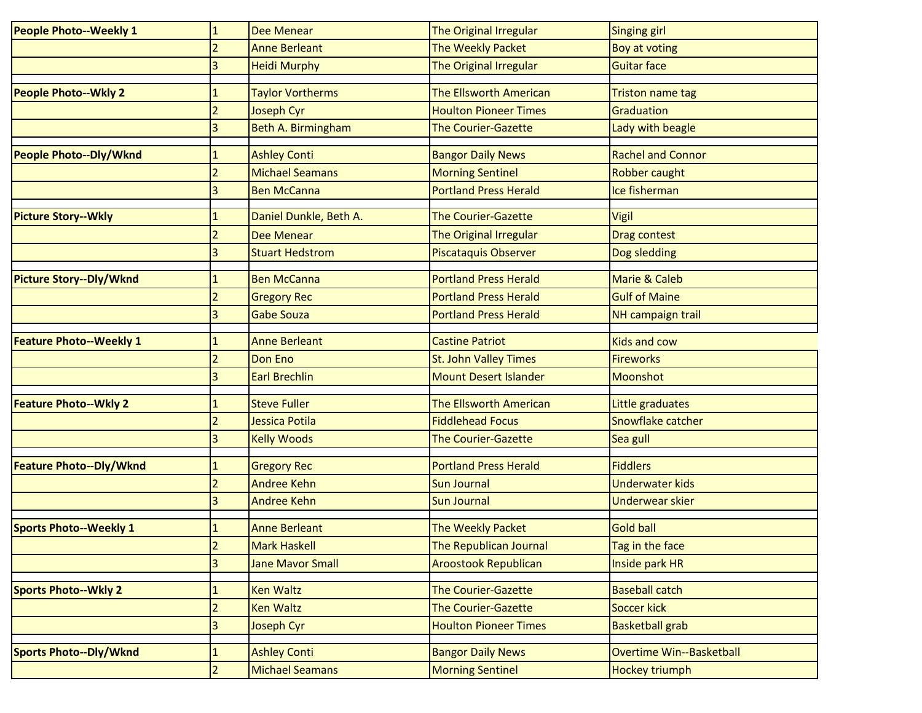| <b>People Photo--Weekly 1</b>  | $\mathbf{1}$             | <b>Dee Menear</b>       | <b>The Original Irregular</b>                       | Singing girl             |
|--------------------------------|--------------------------|-------------------------|-----------------------------------------------------|--------------------------|
|                                | $\overline{2}$           | <b>Anne Berleant</b>    | The Weekly Packet                                   | <b>Boy at voting</b>     |
|                                | $\overline{\mathbf{3}}$  | <b>Heidi Murphy</b>     | The Original Irregular                              | <b>Guitar face</b>       |
| <b>People Photo--Wkly 2</b>    |                          | <b>Taylor Vortherms</b> | The Ellsworth American                              | <b>Triston name tag</b>  |
|                                | $\overline{2}$           | Joseph Cyr              | <b>Houlton Pioneer Times</b>                        | Graduation               |
|                                | 3                        | Beth A. Birmingham      | <b>The Courier-Gazette</b>                          | Lady with beagle         |
| <b>People Photo--Dly/Wknd</b>  |                          | <b>Ashley Conti</b>     |                                                     | <b>Rachel and Connor</b> |
|                                | $\overline{\phantom{a}}$ | <b>Michael Seamans</b>  | <b>Bangor Daily News</b><br><b>Morning Sentinel</b> | Robber caught            |
|                                |                          |                         | <b>Portland Press Herald</b>                        | Ice fisherman            |
|                                |                          | <b>Ben McCanna</b>      |                                                     |                          |
| <b>Picture Story--Wkly</b>     | 1                        | Daniel Dunkle, Beth A.  | <b>The Courier-Gazette</b>                          | Vigil                    |
|                                | $\overline{2}$           | <b>Dee Menear</b>       | The Original Irregular                              | Drag contest             |
|                                |                          | <b>Stuart Hedstrom</b>  | <b>Piscataquis Observer</b>                         | Dog sledding             |
| <b>Picture Story--Dly/Wknd</b> |                          | <b>Ben McCanna</b>      | <b>Portland Press Herald</b>                        | Marie & Caleb            |
|                                |                          | <b>Gregory Rec</b>      | <b>Portland Press Herald</b>                        | <b>Gulf of Maine</b>     |
|                                | 3                        | <b>Gabe Souza</b>       | <b>Portland Press Herald</b>                        | NH campaign trail        |
| <b>Feature Photo--Weekly 1</b> |                          | <b>Anne Berleant</b>    | <b>Castine Patriot</b>                              | <b>Kids and cow</b>      |
|                                | $\overline{2}$           | Don Eno                 | <b>St. John Valley Times</b>                        | <b>Fireworks</b>         |
|                                | 3                        | <b>Earl Brechlin</b>    | <b>Mount Desert Islander</b>                        | <b>Moonshot</b>          |
| <b>Feature Photo--Wkly 2</b>   |                          | <b>Steve Fuller</b>     | The Ellsworth American                              | Little graduates         |
|                                | $\overline{2}$           | Jessica Potila          | <b>Fiddlehead Focus</b>                             | Snowflake catcher        |
|                                | 3                        | <b>Kelly Woods</b>      | <b>The Courier-Gazette</b>                          | Sea gull                 |
|                                |                          |                         |                                                     |                          |
| Feature Photo--Dly/Wknd        |                          | <b>Gregory Rec</b>      | <b>Portland Press Herald</b>                        | <b>Fiddlers</b>          |
|                                |                          | <b>Andree Kehn</b>      | <b>Sun Journal</b>                                  | <b>Underwater kids</b>   |
|                                |                          | <b>Andree Kehn</b>      | <b>Sun Journal</b>                                  | <b>Underwear skier</b>   |
| <b>Sports Photo--Weekly 1</b>  |                          | <b>Anne Berleant</b>    | The Weekly Packet                                   | <b>Gold ball</b>         |
|                                | 2                        | <b>Mark Haskell</b>     | The Republican Journal                              | Tag in the face          |
|                                | $\overline{3}$           | <b>Jane Mavor Small</b> | <b>Aroostook Republican</b>                         | Inside park HR           |
| <b>Sports Photo--Wkly 2</b>    | 1                        | <b>Ken Waltz</b>        | <b>The Courier-Gazette</b>                          | <b>Baseball catch</b>    |
|                                | $\overline{2}$           | <b>Ken Waltz</b>        | The Courier-Gazette                                 | Soccer kick              |
|                                | $\overline{3}$           | Joseph Cyr              | <b>Houlton Pioneer Times</b>                        | <b>Basketball grab</b>   |
| <b>Sports Photo--Dly/Wknd</b>  | $\mathbf{1}$             | <b>Ashley Conti</b>     | <b>Bangor Daily News</b>                            | Overtime Win--Basketball |
|                                |                          |                         |                                                     |                          |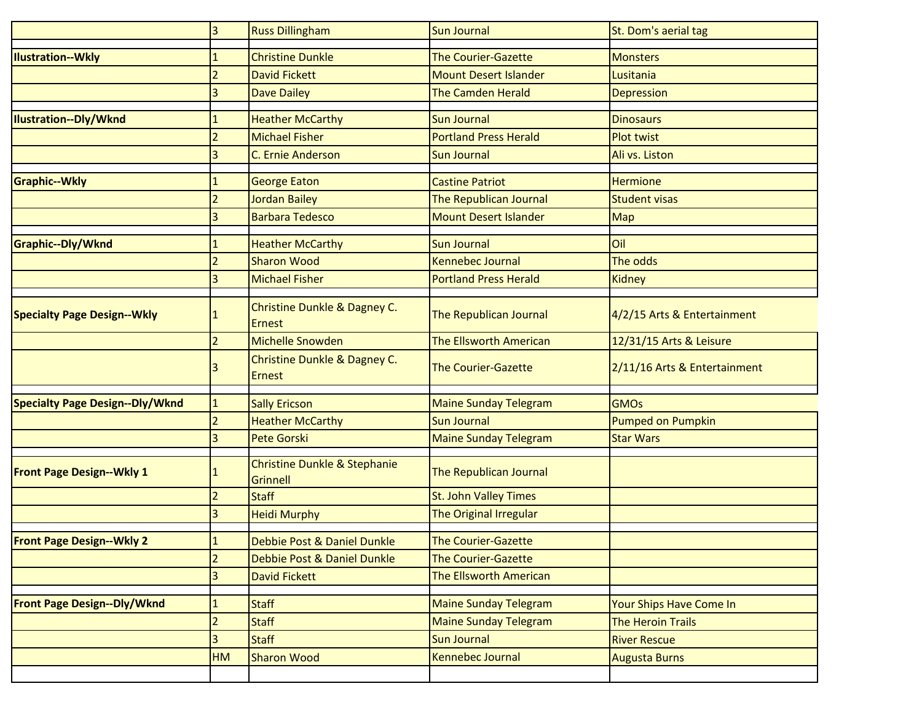|                                        | 3              | <b>Russ Dillingham</b>                          | <b>Sun Journal</b>            | St. Dom's aerial tag         |
|----------------------------------------|----------------|-------------------------------------------------|-------------------------------|------------------------------|
| <b>Ilustration--Wkly</b>               |                | <b>Christine Dunkle</b>                         | <b>The Courier-Gazette</b>    | <b>Monsters</b>              |
|                                        | $\overline{2}$ | <b>David Fickett</b>                            | <b>Mount Desert Islander</b>  | Lusitania                    |
|                                        | 3              | <b>Dave Dailey</b>                              | <b>The Camden Herald</b>      |                              |
|                                        |                |                                                 |                               | <b>Depression</b>            |
| <b>Ilustration--Dly/Wknd</b>           | 1              | <b>Heather McCarthy</b>                         | <b>Sun Journal</b>            | <b>Dinosaurs</b>             |
|                                        | $\overline{2}$ | <b>Michael Fisher</b>                           | <b>Portland Press Herald</b>  | <b>Plot twist</b>            |
|                                        | 3              | C. Ernie Anderson                               | <b>Sun Journal</b>            | Ali vs. Liston               |
| <b>Graphic--Wkly</b>                   |                | <b>George Eaton</b>                             | <b>Castine Patriot</b>        | <b>Hermione</b>              |
|                                        |                | <b>Jordan Bailey</b>                            | The Republican Journal        | <b>Student visas</b>         |
|                                        | 3              | <b>Barbara Tedesco</b>                          | <b>Mount Desert Islander</b>  | <b>Map</b>                   |
|                                        |                |                                                 |                               |                              |
| Graphic--Dly/Wknd                      |                | <b>Heather McCarthy</b>                         | <b>Sun Journal</b>            | Oil                          |
|                                        |                | <b>Sharon Wood</b>                              | <b>Kennebec Journal</b>       | The odds                     |
|                                        | 3              | <b>Michael Fisher</b>                           | <b>Portland Press Herald</b>  | Kidney                       |
| <b>Specialty Page Design--Wkly</b>     |                | Christine Dunkle & Dagney C.<br><b>Ernest</b>   | The Republican Journal        | 4/2/15 Arts & Entertainment  |
|                                        |                | <b>Michelle Snowden</b>                         | The Ellsworth American        | 12/31/15 Arts & Leisure      |
|                                        | 3              | Christine Dunkle & Dagney C.<br><b>Ernest</b>   | <b>The Courier-Gazette</b>    | 2/11/16 Arts & Entertainment |
| <b>Specialty Page Design--Dly/Wknd</b> |                | <b>Sally Ericson</b>                            | <b>Maine Sunday Telegram</b>  | <b>GMOs</b>                  |
|                                        | $\overline{2}$ | <b>Heather McCarthy</b>                         | <b>Sun Journal</b>            | Pumped on Pumpkin            |
|                                        | 3              | <b>Pete Gorski</b>                              | <b>Maine Sunday Telegram</b>  | <b>Star Wars</b>             |
| <b>Front Page Design--Wkly 1</b>       |                | Christine Dunkle & Stephanie<br><b>Grinnell</b> | <b>The Republican Journal</b> |                              |
|                                        | $\overline{2}$ | <b>Staff</b>                                    | <b>St. John Valley Times</b>  |                              |
|                                        | 3              | <b>Heidi Murphy</b>                             | The Original Irregular        |                              |
| <b>Front Page Design--Wkly 2</b>       | ÷,             | Debbie Post & Daniel Dunkle                     | <b>The Courier-Gazette</b>    |                              |
|                                        | 2              | Debbie Post & Daniel Dunkle                     | <b>The Courier-Gazette</b>    |                              |
|                                        | 3              | <b>David Fickett</b>                            | The Ellsworth American        |                              |
|                                        |                |                                                 |                               |                              |
| <b>Front Page Design--Dly/Wknd</b>     | $\mathbf{1}$   | <b>Staff</b>                                    | <b>Maine Sunday Telegram</b>  | Your Ships Have Come In      |
|                                        | $\overline{2}$ | <b>Staff</b>                                    | <b>Maine Sunday Telegram</b>  | <b>The Heroin Trails</b>     |
|                                        | 3              | <b>Staff</b>                                    | Sun Journal                   | <b>River Rescue</b>          |
|                                        | HM             | <b>Sharon Wood</b>                              | Kennebec Journal              | <b>Augusta Burns</b>         |
|                                        |                |                                                 |                               |                              |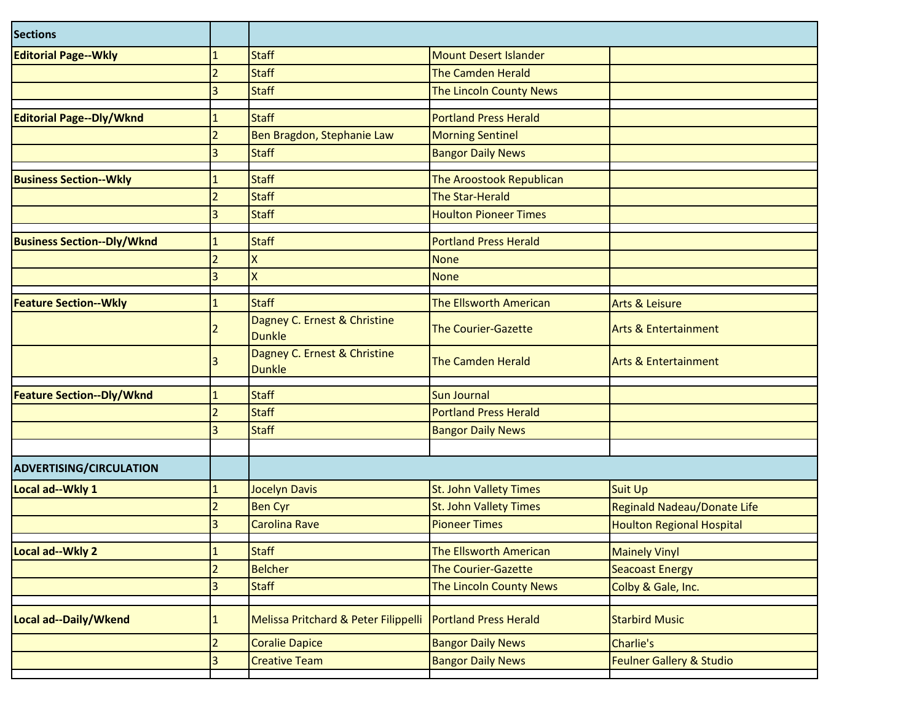| <b>Sections</b>                   |                          |                                               |                               |                                     |
|-----------------------------------|--------------------------|-----------------------------------------------|-------------------------------|-------------------------------------|
| <b>Editorial Page--Wkly</b>       |                          | <b>Staff</b>                                  | <b>Mount Desert Islander</b>  |                                     |
|                                   | $\overline{\phantom{a}}$ | <b>Staff</b>                                  | <b>The Camden Herald</b>      |                                     |
|                                   | 3                        | <b>Staff</b>                                  | The Lincoln County News       |                                     |
| Editorial Page--Dly/Wknd          |                          | <b>Staff</b>                                  | <b>Portland Press Herald</b>  |                                     |
|                                   | $\overline{2}$           | Ben Bragdon, Stephanie Law                    | <b>Morning Sentinel</b>       |                                     |
|                                   | 3                        | <b>Staff</b>                                  | <b>Bangor Daily News</b>      |                                     |
| <b>Business Section--Wkly</b>     | $\mathbf{1}$             | <b>Staff</b>                                  | The Aroostook Republican      |                                     |
|                                   | $\overline{2}$           | <b>Staff</b>                                  | <b>The Star-Herald</b>        |                                     |
|                                   | 3                        | <b>Staff</b>                                  | <b>Houlton Pioneer Times</b>  |                                     |
| <b>Business Section--Dly/Wknd</b> |                          | <b>Staff</b>                                  | <b>Portland Press Herald</b>  |                                     |
|                                   | $\overline{2}$           | X                                             | <b>None</b>                   |                                     |
|                                   | 3                        | $\mathsf{x}$                                  | <b>None</b>                   |                                     |
| <b>Feature Section--Wkly</b>      | 1                        | <b>Staff</b>                                  | The Ellsworth American        | <b>Arts &amp; Leisure</b>           |
|                                   |                          | Dagney C. Ernest & Christine<br><b>Dunkle</b> | <b>The Courier-Gazette</b>    | <b>Arts &amp; Entertainment</b>     |
|                                   | 3                        | Dagney C. Ernest & Christine<br><b>Dunkle</b> | <b>The Camden Herald</b>      | <b>Arts &amp; Entertainment</b>     |
| <b>Feature Section--Dly/Wknd</b>  |                          | <b>Staff</b>                                  | Sun Journal                   |                                     |
|                                   | $\overline{2}$           | <b>Staff</b>                                  | <b>Portland Press Herald</b>  |                                     |
|                                   | 3                        | <b>Staff</b>                                  | <b>Bangor Daily News</b>      |                                     |
|                                   |                          |                                               |                               |                                     |
| <b>ADVERTISING/CIRCULATION</b>    |                          |                                               |                               |                                     |
| Local ad--Wkly 1                  |                          | <b>Jocelyn Davis</b>                          | <b>St. John Vallety Times</b> | <b>Suit Up</b>                      |
|                                   | 2                        | <b>Ben Cyr</b>                                | <b>St. John Vallety Times</b> | Reginald Nadeau/Donate Life         |
|                                   | 3                        | <b>Carolina Rave</b>                          | <b>Pioneer Times</b>          | <b>Houlton Regional Hospital</b>    |
| Local ad--Wkly 2                  | $\mathbf{1}$             | <b>Staff</b>                                  | The Ellsworth American        | <b>Mainely Vinyl</b>                |
|                                   | $\overline{2}$           | <b>Belcher</b>                                | The Courier-Gazette           | <b>Seacoast Energy</b>              |
|                                   | 3                        | <b>Staff</b>                                  | The Lincoln County News       | Colby & Gale, Inc.                  |
| Local ad--Daily/Wkend             |                          | Melissa Pritchard & Peter Filippelli          | <b>Portland Press Herald</b>  | <b>Starbird Music</b>               |
|                                   | $\overline{2}$           | <b>Coralie Dapice</b>                         | <b>Bangor Daily News</b>      | Charlie's                           |
|                                   | 3                        | <b>Creative Team</b>                          | <b>Bangor Daily News</b>      | <b>Feulner Gallery &amp; Studio</b> |
|                                   |                          |                                               |                               |                                     |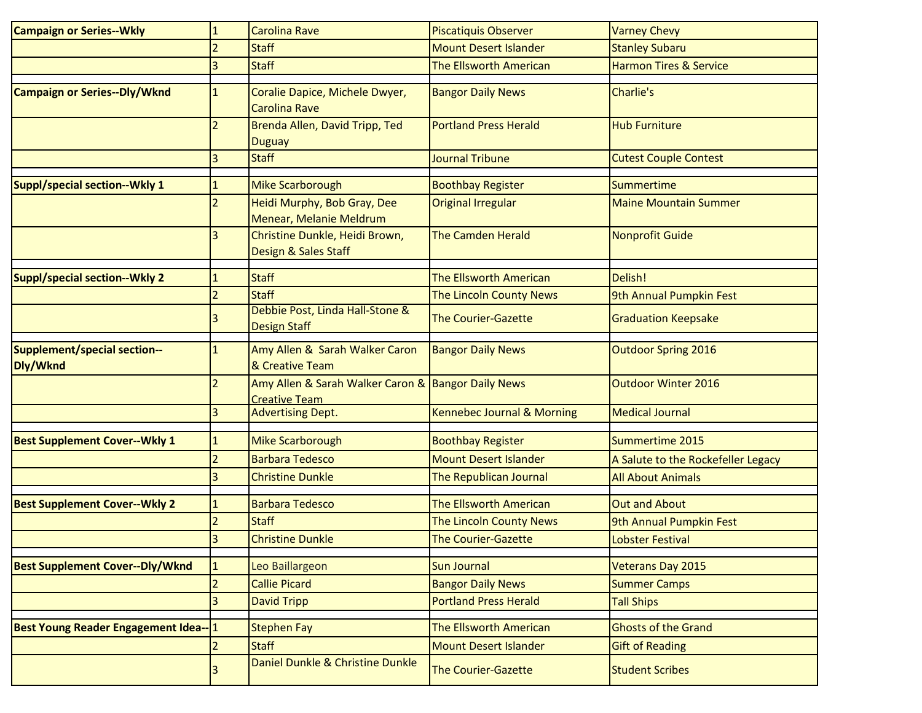| <b>Campaign or Series--Wkly</b>                 | $\mathbf{1}$   | <b>Carolina Rave</b>                                                       | <b>Piscatiquis Observer</b>           | <b>Varney Chevy</b>                |
|-------------------------------------------------|----------------|----------------------------------------------------------------------------|---------------------------------------|------------------------------------|
|                                                 | $\overline{2}$ | <b>Staff</b>                                                               | <b>Mount Desert Islander</b>          | <b>Stanley Subaru</b>              |
|                                                 | 3              | <b>Staff</b>                                                               | The Ellsworth American                | <b>Harmon Tires &amp; Service</b>  |
| <b>Campaign or Series--Dly/Wknd</b>             | 1              | Coralie Dapice, Michele Dwyer,<br><b>Carolina Rave</b>                     | <b>Bangor Daily News</b>              | Charlie's                          |
|                                                 |                | Brenda Allen, David Tripp, Ted<br><b>Duguay</b>                            | <b>Portland Press Herald</b>          | <b>Hub Furniture</b>               |
|                                                 | 3              | <b>Staff</b>                                                               | <b>Journal Tribune</b>                | <b>Cutest Couple Contest</b>       |
| Suppl/special section--Wkly 1                   |                | Mike Scarborough                                                           | <b>Boothbay Register</b>              | Summertime                         |
|                                                 | 2              | Heidi Murphy, Bob Gray, Dee<br>Menear, Melanie Meldrum                     | <b>Original Irregular</b>             | <b>Maine Mountain Summer</b>       |
|                                                 | 3              | Christine Dunkle, Heidi Brown,<br>Design & Sales Staff                     | <b>The Camden Herald</b>              | <b>Nonprofit Guide</b>             |
| Suppl/special section--Wkly 2                   | 1              | <b>Staff</b>                                                               | The Ellsworth American                | Delish!                            |
|                                                 | $\overline{2}$ | <b>Staff</b>                                                               | The Lincoln County News               | 9th Annual Pumpkin Fest            |
|                                                 |                | Debbie Post, Linda Hall-Stone &<br><b>Design Staff</b>                     | <b>The Courier-Gazette</b>            | <b>Graduation Keepsake</b>         |
| <b>Supplement/special section--</b><br>Dly/Wknd | 1              | Amy Allen & Sarah Walker Caron<br>& Creative Team                          | <b>Bangor Daily News</b>              | <b>Outdoor Spring 2016</b>         |
|                                                 | $\overline{2}$ | Amy Allen & Sarah Walker Caron & Bangor Daily News<br><b>Creative Team</b> |                                       | Outdoor Winter 2016                |
|                                                 | 3              | <b>Advertising Dept.</b>                                                   | <b>Kennebec Journal &amp; Morning</b> | <b>Medical Journal</b>             |
| <b>Best Supplement Cover--Wkly 1</b>            | 1              | <b>Mike Scarborough</b>                                                    | <b>Boothbay Register</b>              | Summertime 2015                    |
|                                                 | 2              | <b>Barbara Tedesco</b>                                                     | <b>Mount Desert Islander</b>          | A Salute to the Rockefeller Legacy |
|                                                 | 3              | <b>Christine Dunkle</b>                                                    | The Republican Journal                | <b>All About Animals</b>           |
| <b>Best Supplement Cover--Wkly 2</b>            |                | <b>Barbara Tedesco</b>                                                     | The Ellsworth American                | <b>Out and About</b>               |
|                                                 |                | <b>Staff</b>                                                               | The Lincoln County News               | 9th Annual Pumpkin Fest            |
|                                                 | $\mathbf{R}$   | <b>Christine Dunkle</b>                                                    | <b>The Courier-Gazette</b>            | <b>Lobster Festival</b>            |
| <b>Best Supplement Cover--Dly/Wknd</b>          |                | Leo Baillargeon                                                            | <b>Sun Journal</b>                    | Veterans Day 2015                  |
|                                                 |                | <b>Callie Picard</b>                                                       | <b>Bangor Daily News</b>              | <b>Summer Camps</b>                |
|                                                 | 3              | <b>David Tripp</b>                                                         | <b>Portland Press Herald</b>          | <b>Tall Ships</b>                  |
| <b>Best Young Reader Engagement Idea--11</b>    |                | <b>Stephen Fay</b>                                                         | The Ellsworth American                | <b>Ghosts of the Grand</b>         |
|                                                 |                | <b>Staff</b>                                                               | <b>Mount Desert Islander</b>          | <b>Gift of Reading</b>             |
|                                                 |                | Daniel Dunkle & Christine Dunkle                                           | <b>The Courier-Gazette</b>            | <b>Student Scribes</b>             |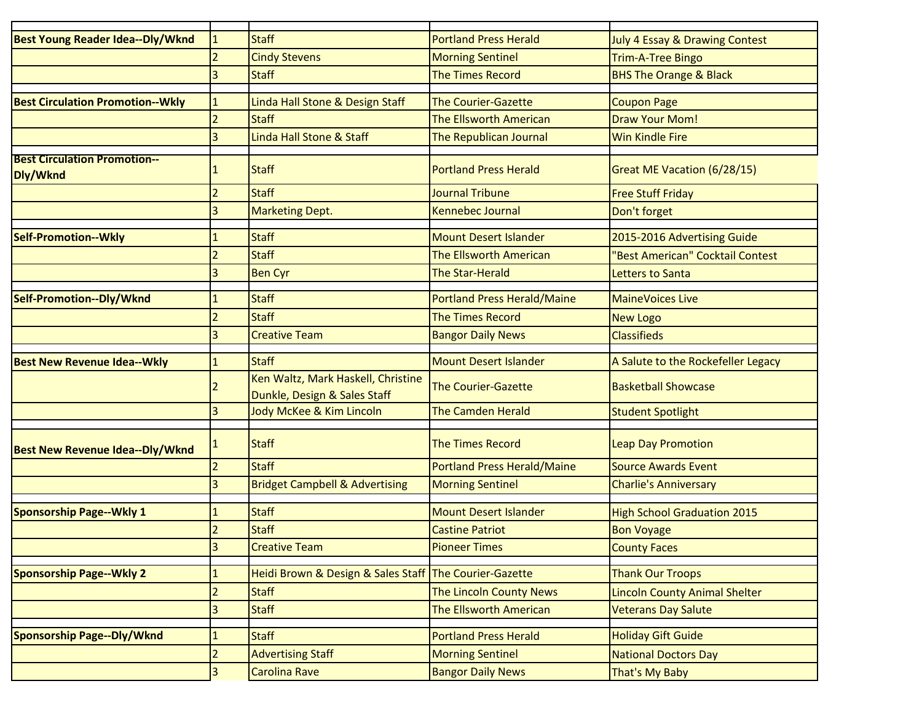| Best Young Reader Idea--Dly/Wknd                |                          | <b>Staff</b>                                                       | <b>Portland Press Herald</b>       | <b>July 4 Essay &amp; Drawing Contest</b> |
|-------------------------------------------------|--------------------------|--------------------------------------------------------------------|------------------------------------|-------------------------------------------|
|                                                 |                          | <b>Cindy Stevens</b>                                               | <b>Morning Sentinel</b>            | <b>Trim-A-Tree Bingo</b>                  |
|                                                 | 3                        | <b>Staff</b>                                                       | <b>The Times Record</b>            | <b>BHS The Orange &amp; Black</b>         |
| <b>Best Circulation Promotion--Wkly</b>         | $\mathbf{1}$             | Linda Hall Stone & Design Staff                                    | <b>The Courier-Gazette</b>         | <b>Coupon Page</b>                        |
|                                                 | $\overline{2}$           | <b>Staff</b>                                                       | <b>The Ellsworth American</b>      | <b>Draw Your Mom!</b>                     |
|                                                 | 3                        | <b>Linda Hall Stone &amp; Staff</b>                                | The Republican Journal             | <b>Win Kindle Fire</b>                    |
|                                                 |                          |                                                                    |                                    |                                           |
| <b>Best Circulation Promotion--</b><br>Dly/Wknd |                          | <b>Staff</b>                                                       | <b>Portland Press Herald</b>       | Great ME Vacation (6/28/15)               |
|                                                 | $\overline{2}$           | <b>Staff</b>                                                       | Journal Tribune                    | <b>Free Stuff Friday</b>                  |
|                                                 | 3                        | <b>Marketing Dept.</b>                                             | <b>Kennebec Journal</b>            | Don't forget                              |
| <b>Self-Promotion--Wkly</b>                     | $\mathbf{1}$             | <b>Staff</b>                                                       | <b>Mount Desert Islander</b>       | 2015-2016 Advertising Guide               |
|                                                 | $\overline{2}$           | <b>Staff</b>                                                       | The Ellsworth American             | 'Best American" Cocktail Contest          |
|                                                 | 3                        |                                                                    | <b>The Star-Herald</b>             |                                           |
|                                                 |                          | <b>Ben Cyr</b>                                                     |                                    | Letters to Santa                          |
| Self-Promotion--Dly/Wknd                        |                          | <b>Staff</b>                                                       | <b>Portland Press Herald/Maine</b> | <b>MaineVoices Live</b>                   |
|                                                 | $\overline{2}$           | <b>Staff</b>                                                       | <b>The Times Record</b>            | <b>New Logo</b>                           |
|                                                 | 3                        | <b>Creative Team</b>                                               | <b>Bangor Daily News</b>           | <b>Classifieds</b>                        |
| <b>Best New Revenue Idea--Wkly</b>              | $\mathbf{1}$             | <b>Staff</b>                                                       | <b>Mount Desert Islander</b>       | A Salute to the Rockefeller Legacy        |
|                                                 |                          | Ken Waltz, Mark Haskell, Christine<br>Dunkle, Design & Sales Staff | <b>The Courier-Gazette</b>         | <b>Basketball Showcase</b>                |
|                                                 | 3                        | Jody McKee & Kim Lincoln                                           | <b>The Camden Herald</b>           | <b>Student Spotlight</b>                  |
| <b>Best New Revenue Idea--Dly/Wknd</b>          |                          | <b>Staff</b>                                                       | <b>The Times Record</b>            | <b>Leap Day Promotion</b>                 |
|                                                 | $\overline{\mathcal{L}}$ | <b>Staff</b>                                                       | Portland Press Herald/Maine        | <b>Source Awards Event</b>                |
|                                                 | 3                        | <b>Bridget Campbell &amp; Advertising</b>                          | <b>Morning Sentinel</b>            | <b>Charlie's Anniversary</b>              |
| <b>Sponsorship Page--Wkly 1</b>                 | 1                        | <b>Staff</b>                                                       | <b>Mount Desert Islander</b>       | <b>High School Graduation 2015</b>        |
|                                                 | $\overline{\phantom{a}}$ | <b>Staff</b>                                                       | <b>Castine Patriot</b>             | <b>Bon Voyage</b>                         |
|                                                 | 3                        | <b>Creative Team</b>                                               | <b>Pioneer Times</b>               | <b>County Faces</b>                       |
|                                                 |                          |                                                                    |                                    |                                           |
| <b>Sponsorship Page--Wkly 2</b>                 | 1                        | Heidi Brown & Design & Sales Staff The Courier-Gazette             |                                    | <b>Thank Our Troops</b>                   |
|                                                 | $\overline{2}$           | <b>Staff</b>                                                       | The Lincoln County News            | Lincoln County Animal Shelter             |
|                                                 | 3                        | <b>Staff</b>                                                       | The Ellsworth American             | <b>Veterans Day Salute</b>                |
| <b>Sponsorship Page--Dly/Wknd</b>               | $\mathbf{1}$             | <b>Staff</b>                                                       | <b>Portland Press Herald</b>       | <b>Holiday Gift Guide</b>                 |
|                                                 | $\overline{2}$           | <b>Advertising Staff</b>                                           | <b>Morning Sentinel</b>            | <b>National Doctors Day</b>               |
|                                                 | 3                        | <b>Carolina Rave</b>                                               | <b>Bangor Daily News</b>           | That's My Baby                            |
|                                                 |                          |                                                                    |                                    |                                           |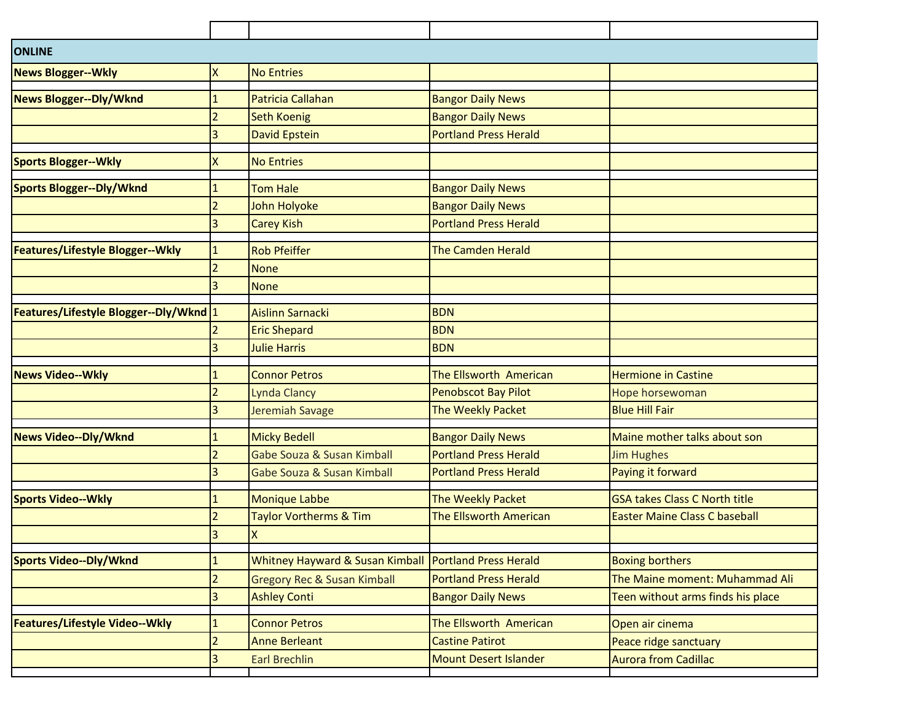| ONLINE                                  |                |                                            |                               |                                      |
|-----------------------------------------|----------------|--------------------------------------------|-------------------------------|--------------------------------------|
| <b>News Blogger--Wkly</b>               | Χ              | <b>No Entries</b>                          |                               |                                      |
| News Blogger--Dly/Wknd                  |                | <b>Patricia Callahan</b>                   | <b>Bangor Daily News</b>      |                                      |
|                                         | 2              | <b>Seth Koenig</b>                         | <b>Bangor Daily News</b>      |                                      |
|                                         | 3              | David Epstein                              | <b>Portland Press Herald</b>  |                                      |
|                                         |                |                                            |                               |                                      |
| <b>Sports Blogger--Wkly</b>             | X              | <b>No Entries</b>                          |                               |                                      |
| <b>Sports Blogger--Dly/Wknd</b>         | 1              | <b>Tom Hale</b>                            | <b>Bangor Daily News</b>      |                                      |
|                                         | $\overline{2}$ | John Holyoke                               | <b>Bangor Daily News</b>      |                                      |
|                                         | 3              | <b>Carey Kish</b>                          | <b>Portland Press Herald</b>  |                                      |
| <b>Features/Lifestyle Blogger--Wkly</b> | $\mathbf{1}$   | <b>Rob Pfeiffer</b>                        | <b>The Camden Herald</b>      |                                      |
|                                         | $\overline{2}$ | <b>None</b>                                |                               |                                      |
|                                         | 3              | <b>None</b>                                |                               |                                      |
| Features/Lifestyle Blogger--Dly/Wknd 1  |                | <b>Aislinn Sarnacki</b>                    | <b>BDN</b>                    |                                      |
|                                         |                | <b>Eric Shepard</b>                        | <b>BDN</b>                    |                                      |
|                                         | 3              | <b>Julie Harris</b>                        | <b>BDN</b>                    |                                      |
| <b>News Video--Wkly</b>                 |                | <b>Connor Petros</b>                       | The Ellsworth American        | <b>Hermione in Castine</b>           |
|                                         | $\overline{2}$ | <b>Lynda Clancy</b>                        | Penobscot Bay Pilot           | Hope horsewoman                      |
|                                         | 3              | Jeremiah Savage                            | The Weekly Packet             | <b>Blue Hill Fair</b>                |
| <b>News Video--Dly/Wknd</b>             | 1              | <b>Micky Bedell</b>                        | <b>Bangor Daily News</b>      | Maine mother talks about son         |
|                                         | $\overline{2}$ | Gabe Souza & Susan Kimball                 | <b>Portland Press Herald</b>  | <b>Jim Hughes</b>                    |
|                                         | 3              | Gabe Souza & Susan Kimball                 | <b>Portland Press Herald</b>  | Paying it forward                    |
|                                         |                |                                            |                               |                                      |
| <b>Sports Video--Wkly</b>               |                | <b>Monique Labbe</b>                       | The Weekly Packet             | <b>GSA takes Class C North title</b> |
|                                         | $\overline{2}$ | <b>Taylor Vortherms &amp; Tim</b>          | <b>The Ellsworth American</b> | <b>Easter Maine Class C baseball</b> |
|                                         | 3              | $\overline{\mathsf{x}}$                    |                               |                                      |
| <b>Sports Video--Dly/Wknd</b>           |                | <b>Whitney Hayward &amp; Susan Kimball</b> | <b>Portland Press Herald</b>  | <b>Boxing borthers</b>               |
|                                         | $\overline{2}$ | <b>Gregory Rec &amp; Susan Kimball</b>     | <b>Portland Press Herald</b>  | The Maine moment: Muhammad Ali       |
|                                         | 3              | <b>Ashley Conti</b>                        | <b>Bangor Daily News</b>      | Teen without arms finds his place    |
| Features/Lifestyle Video--Wkly          |                | <b>Connor Petros</b>                       | The Ellsworth American        | Open air cinema                      |
|                                         | 2              | <b>Anne Berleant</b>                       | <b>Castine Patirot</b>        | Peace ridge sanctuary                |
|                                         | 3              | <b>Earl Brechlin</b>                       | <b>Mount Desert Islander</b>  | <b>Aurora from Cadillac</b>          |
|                                         |                |                                            |                               |                                      |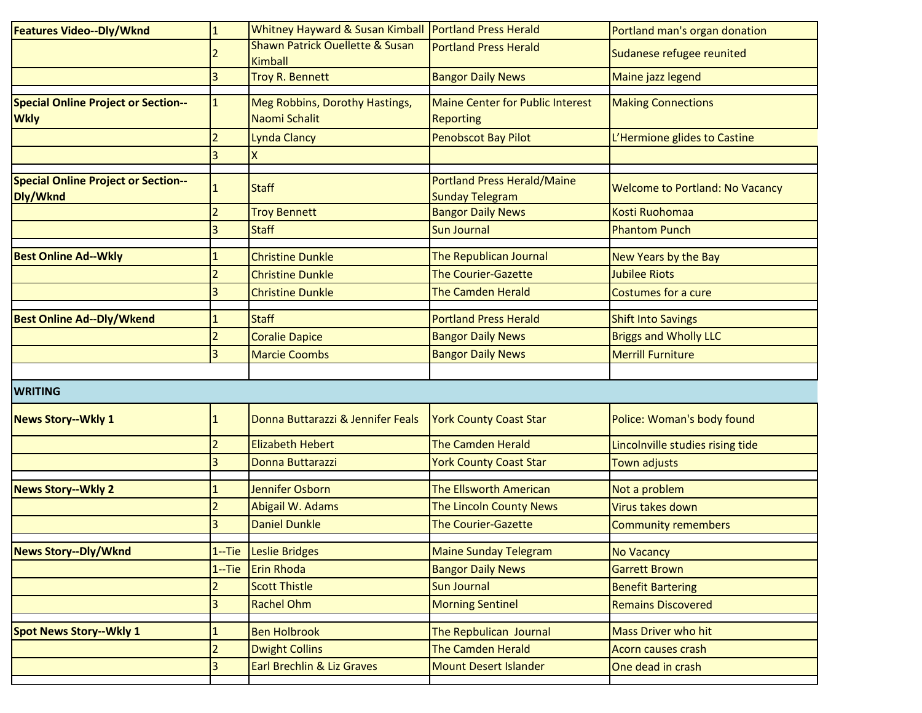| Features Video--Dly/Wknd                                  |                | Whitney Hayward & Susan Kimball                   | <b>Portland Press Herald</b>                                 | Portland man's organ donation                             |
|-----------------------------------------------------------|----------------|---------------------------------------------------|--------------------------------------------------------------|-----------------------------------------------------------|
|                                                           |                | Shawn Patrick Ouellette & Susan<br><b>Kimball</b> | <b>Portland Press Herald</b>                                 | Sudanese refugee reunited                                 |
|                                                           | 3              | <b>Troy R. Bennett</b>                            | <b>Bangor Daily News</b>                                     | Maine jazz legend                                         |
| <b>Special Online Project or Section--</b><br><b>Wkly</b> | $\mathbf{1}$   | Meg Robbins, Dorothy Hastings,<br>Naomi Schalit   | <b>Maine Center for Public Interest</b><br><b>Reporting</b>  | <b>Making Connections</b>                                 |
|                                                           | $\overline{2}$ | <b>Lynda Clancy</b>                               | Penobscot Bay Pilot                                          | L'Hermione glides to Castine                              |
|                                                           | 3              |                                                   |                                                              |                                                           |
| <b>Special Online Project or Section--</b><br>Dly/Wknd    |                | <b>Staff</b>                                      | <b>Portland Press Herald/Maine</b><br><b>Sunday Telegram</b> | <b>Welcome to Portland: No Vacancy</b>                    |
|                                                           |                | <b>Troy Bennett</b>                               | <b>Bangor Daily News</b>                                     | <b>Kosti Ruohomaa</b>                                     |
|                                                           | 3              | <b>Staff</b>                                      | <b>Sun Journal</b>                                           | <b>Phantom Punch</b>                                      |
| <b>Best Online Ad--Wkly</b>                               |                | <b>Christine Dunkle</b>                           | The Republican Journal                                       | New Years by the Bay                                      |
|                                                           | $\overline{2}$ | <b>Christine Dunkle</b>                           | <b>The Courier-Gazette</b>                                   | <b>Jubilee Riots</b>                                      |
|                                                           | 3              | <b>Christine Dunkle</b>                           | <b>The Camden Herald</b>                                     | Costumes for a cure                                       |
| <b>Best Online Ad--Dly/Wkend</b>                          |                | <b>Staff</b>                                      | <b>Portland Press Herald</b>                                 |                                                           |
|                                                           | $\overline{2}$ | <b>Coralie Dapice</b>                             | <b>Bangor Daily News</b>                                     | <b>Shift Into Savings</b><br><b>Briggs and Wholly LLC</b> |
|                                                           | 3              | <b>Marcie Coombs</b>                              | <b>Bangor Daily News</b>                                     | <b>Merrill Furniture</b>                                  |
|                                                           |                |                                                   |                                                              |                                                           |
| <b>WRITING</b>                                            |                |                                                   |                                                              |                                                           |
| <b>News Story--Wkly 1</b>                                 |                | Donna Buttarazzi & Jennifer Feals                 | <b>York County Coast Star</b>                                | Police: Woman's body found                                |
|                                                           | $\overline{2}$ | <b>Elizabeth Hebert</b>                           | <b>The Camden Herald</b>                                     | Lincolnville studies rising tide                          |
|                                                           | 3              | Donna Buttarazzi                                  | <b>York County Coast Star</b>                                | <b>Town adjusts</b>                                       |
| <b>News Story--Wkly 2</b>                                 |                | Jennifer Osborn                                   | The Ellsworth American                                       | Not a problem                                             |
|                                                           |                | Abigail W. Adams                                  | The Lincoln County News                                      | Virus takes down                                          |
|                                                           |                | <b>Daniel Dunkle</b>                              | <b>The Courier-Gazette</b>                                   | <b>Community remembers</b>                                |
| <b>News Story--Dly/Wknd</b>                               | $1 -$ Tie      | <b>Leslie Bridges</b>                             | <b>Maine Sunday Telegram</b>                                 | <b>No Vacancy</b>                                         |
|                                                           | $1 -$ Tie      | Erin Rhoda                                        | <b>Bangor Daily News</b>                                     | <b>Garrett Brown</b>                                      |
|                                                           | 2              | <b>Scott Thistle</b>                              | <b>Sun Journal</b>                                           | <b>Benefit Bartering</b>                                  |
|                                                           | 3              | <b>Rachel Ohm</b>                                 | <b>Morning Sentinel</b>                                      | <b>Remains Discovered</b>                                 |
|                                                           |                |                                                   |                                                              |                                                           |
| <b>Spot News Story--Wkly 1</b>                            |                | <b>Ben Holbrook</b>                               | The Repbulican Journal                                       | <b>Mass Driver who hit</b>                                |
|                                                           | $\overline{a}$ | <b>Dwight Collins</b>                             | <b>The Camden Herald</b>                                     | Acorn causes crash                                        |
|                                                           | 3              | <b>Earl Brechlin &amp; Liz Graves</b>             | <b>Mount Desert Islander</b>                                 | One dead in crash                                         |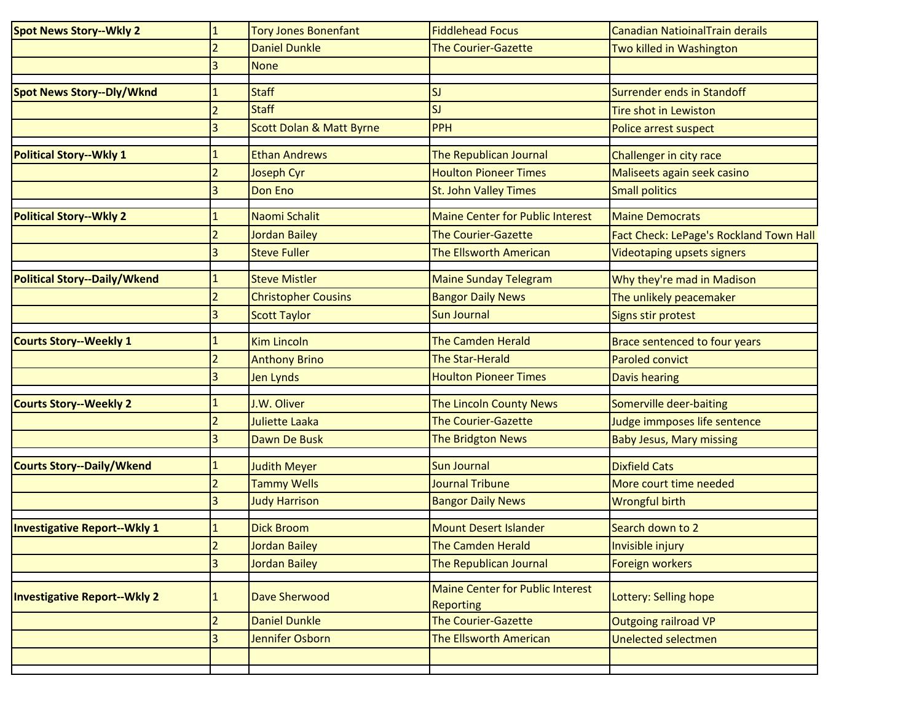| <b>Spot News Story--Wkly 2</b>      | $\mathbf{1}$            | <b>Tory Jones Bonenfant</b>         | <b>Fiddlehead Focus</b>                                     | Canadian NatioinalTrain derails         |
|-------------------------------------|-------------------------|-------------------------------------|-------------------------------------------------------------|-----------------------------------------|
|                                     |                         | <b>Daniel Dunkle</b>                | <b>The Courier-Gazette</b>                                  | Two killed in Washington                |
|                                     | 3                       | <b>None</b>                         |                                                             |                                         |
| <b>Spot News Story--Dly/Wknd</b>    |                         | <b>Staff</b>                        | <b>SJ</b>                                                   | Surrender ends in Standoff              |
|                                     |                         | <b>Staff</b>                        | SJ                                                          | <b>Tire shot in Lewiston</b>            |
|                                     | 3                       | <b>Scott Dolan &amp; Matt Byrne</b> | PPH                                                         | Police arrest suspect                   |
| <b>Political Story--Wkly 1</b>      |                         | <b>Ethan Andrews</b>                | The Republican Journal                                      | Challenger in city race                 |
|                                     |                         | Joseph Cyr                          | <b>Houlton Pioneer Times</b>                                | Maliseets again seek casino             |
|                                     | 3                       | <b>Don Eno</b>                      | <b>St. John Valley Times</b>                                | <b>Small politics</b>                   |
| <b>Political Story--Wkly 2</b>      |                         | Naomi Schalit                       | <b>Maine Center for Public Interest</b>                     | <b>Maine Democrats</b>                  |
|                                     |                         | Jordan Bailey                       | <b>The Courier-Gazette</b>                                  | Fact Check: LePage's Rockland Town Hall |
|                                     |                         | <b>Steve Fuller</b>                 | <b>The Ellsworth American</b>                               | <b>Videotaping upsets signers</b>       |
| <b>Political Story--Daily/Wkend</b> |                         | <b>Steve Mistler</b>                | <b>Maine Sunday Telegram</b>                                | Why they're mad in Madison              |
|                                     |                         | <b>Christopher Cousins</b>          | <b>Bangor Daily News</b>                                    | The unlikely peacemaker                 |
|                                     |                         | <b>Scott Taylor</b>                 | <b>Sun Journal</b>                                          | Signs stir protest                      |
|                                     |                         |                                     |                                                             |                                         |
| <b>Courts Story--Weekly 1</b>       |                         | <b>Kim Lincoln</b>                  | <b>The Camden Herald</b>                                    | Brace sentenced to four years           |
|                                     |                         | <b>Anthony Brino</b>                | <b>The Star-Herald</b>                                      | <b>Paroled convict</b>                  |
|                                     | 3                       | Jen Lynds                           | <b>Houlton Pioneer Times</b>                                | <b>Davis hearing</b>                    |
| <b>Courts Story--Weekly 2</b>       |                         | J.W. Oliver                         | The Lincoln County News                                     | Somerville deer-baiting                 |
|                                     | $\mathcal{P}$           | <b>Juliette Laaka</b>               | <b>The Courier-Gazette</b>                                  | Judge immposes life sentence            |
|                                     |                         | Dawn De Busk                        | The Bridgton News                                           | <b>Baby Jesus, Mary missing</b>         |
| <b>Courts Story--Daily/Wkend</b>    |                         | <b>Judith Meyer</b>                 | <b>Sun Journal</b>                                          | <b>Dixfield Cats</b>                    |
|                                     | 2                       | <b>Tammy Wells</b>                  | <b>Journal Tribune</b>                                      | More court time needed                  |
|                                     | 3                       | <b>Judy Harrison</b>                | <b>Bangor Daily News</b>                                    | <b>Wrongful birth</b>                   |
| <b>Investigative Report--Wkly 1</b> |                         | <b>Dick Broom</b>                   | <b>Mount Desert Islander</b>                                | Search down to 2                        |
|                                     | 2                       | <b>Jordan Bailey</b>                | The Camden Herald                                           | Invisible injury                        |
|                                     | 3                       | <b>Jordan Bailey</b>                | The Republican Journal                                      | Foreign workers                         |
| <b>Investigative Report--Wkly 2</b> | 1                       | Dave Sherwood                       | <b>Maine Center for Public Interest</b><br><b>Reporting</b> | Lottery: Selling hope                   |
|                                     | $\overline{a}$          | <b>Daniel Dunkle</b>                | The Courier-Gazette                                         | <b>Outgoing railroad VP</b>             |
|                                     | $\overline{\mathbf{3}}$ | Jennifer Osborn                     | The Ellsworth American                                      | <b>Unelected selectmen</b>              |
|                                     |                         |                                     |                                                             |                                         |
|                                     |                         |                                     |                                                             |                                         |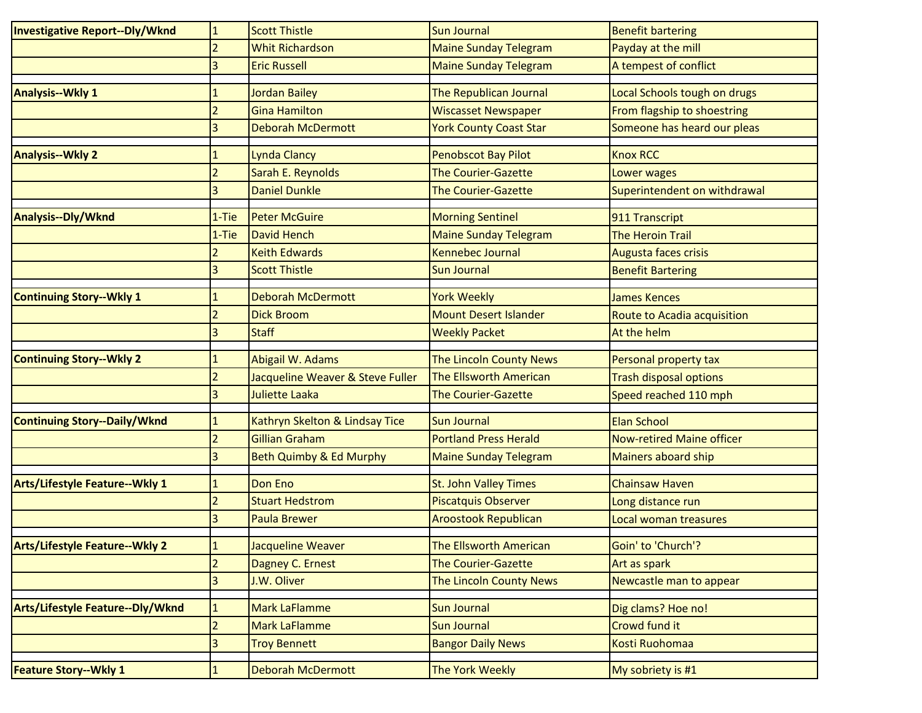| <b>Investigative Report--Dly/Wknd</b> | $\mathbf{1}$   | <b>Scott Thistle</b>             | <b>Sun Journal</b>             | <b>Benefit bartering</b>         |
|---------------------------------------|----------------|----------------------------------|--------------------------------|----------------------------------|
|                                       | $\overline{2}$ | <b>Whit Richardson</b>           | <b>Maine Sunday Telegram</b>   | Payday at the mill               |
|                                       | $\overline{3}$ | <b>Eric Russell</b>              | <b>Maine Sunday Telegram</b>   | A tempest of conflict            |
| <b>Analysis--Wkly 1</b>               |                | Jordan Bailey                    | The Republican Journal         | Local Schools tough on drugs     |
|                                       | $\overline{2}$ | <b>Gina Hamilton</b>             | <b>Wiscasset Newspaper</b>     | From flagship to shoestring      |
|                                       | ξ              | <b>Deborah McDermott</b>         | <b>York County Coast Star</b>  | Someone has heard our pleas      |
| <b>Analysis--Wkly 2</b>               |                | Lynda Clancy                     | <b>Penobscot Bay Pilot</b>     | <b>Knox RCC</b>                  |
|                                       |                | Sarah E. Reynolds                | <b>The Courier-Gazette</b>     | Lower wages                      |
|                                       | 3              | <b>Daniel Dunkle</b>             | <b>The Courier-Gazette</b>     | Superintendent on withdrawal     |
| Analysis--Dly/Wknd                    | $1-Tie$        | <b>Peter McGuire</b>             | <b>Morning Sentinel</b>        | 911 Transcript                   |
|                                       | $1-Tie$        | <b>David Hench</b>               | <b>Maine Sunday Telegram</b>   | <b>The Heroin Trail</b>          |
|                                       |                | <b>Keith Edwards</b>             | Kennebec Journal               | Augusta faces crisis             |
|                                       | $\overline{3}$ | <b>Scott Thistle</b>             | <b>Sun Journal</b>             | <b>Benefit Bartering</b>         |
| <b>Continuing Story--Wkly 1</b>       |                | <b>Deborah McDermott</b>         | <b>York Weekly</b>             | <b>James Kences</b>              |
|                                       |                | <b>Dick Broom</b>                | <b>Mount Desert Islander</b>   | Route to Acadia acquisition      |
|                                       | 3              | <b>Staff</b>                     | <b>Weekly Packet</b>           | At the helm                      |
| <b>Continuing Story--Wkly 2</b>       |                | Abigail W. Adams                 | <b>The Lincoln County News</b> | Personal property tax            |
|                                       | $\overline{a}$ | Jacqueline Weaver & Steve Fuller | <b>The Ellsworth American</b>  | <b>Trash disposal options</b>    |
|                                       | $\overline{3}$ | <b>Juliette Laaka</b>            | <b>The Courier-Gazette</b>     | Speed reached 110 mph            |
| <b>Continuing Story--Daily/Wknd</b>   | 1              | Kathryn Skelton & Lindsay Tice   | <b>Sun Journal</b>             | <b>Elan School</b>               |
|                                       | $\overline{2}$ | Gillian Graham                   | <b>Portland Press Herald</b>   | <b>Now-retired Maine officer</b> |
|                                       | 3              | Beth Quimby & Ed Murphy          | <b>Maine Sunday Telegram</b>   | Mainers aboard ship              |
| <b>Arts/Lifestyle Feature--Wkly 1</b> | 1              | Don Eno                          | St. John Valley Times          | <b>Chainsaw Haven</b>            |
|                                       | $\overline{2}$ | <b>Stuart Hedstrom</b>           | <b>Piscatquis Observer</b>     | Long distance run                |
|                                       | 3              | <b>Paula Brewer</b>              | <b>Aroostook Republican</b>    | Local woman treasures            |
| <b>Arts/Lifestyle Feature--Wkly 2</b> | 1              | Jacqueline Weaver                | The Ellsworth American         | Goin' to 'Church'?               |
|                                       | $\overline{2}$ | Dagney C. Ernest                 | <b>The Courier-Gazette</b>     | Art as spark                     |
|                                       | $\overline{3}$ | J.W. Oliver                      | The Lincoln County News        | Newcastle man to appear          |
| Arts/Lifestyle Feature--Dly/Wknd      | $\mathbf{1}$   | Mark LaFlamme                    | <b>Sun Journal</b>             | Dig clams? Hoe no!               |
|                                       | $\overline{2}$ | <b>Mark LaFlamme</b>             | <b>Sun Journal</b>             | Crowd fund it                    |
|                                       | 3              | <b>Troy Bennett</b>              | <b>Bangor Daily News</b>       | Kosti Ruohomaa                   |
|                                       |                |                                  |                                |                                  |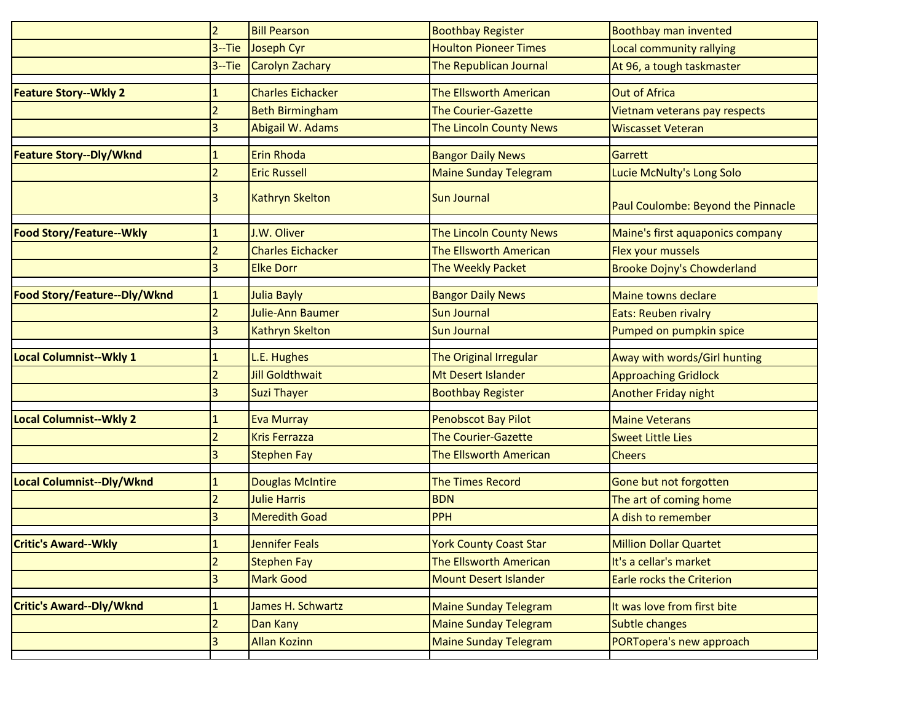|                                 | $\overline{2}$           | <b>Bill Pearson</b>      | <b>Boothbay Register</b>       | Boothbay man invented              |
|---------------------------------|--------------------------|--------------------------|--------------------------------|------------------------------------|
|                                 | $3 -$ Tie                | Joseph Cyr               | <b>Houlton Pioneer Times</b>   | Local community rallying           |
|                                 | $3 -$ Tie                | <b>Carolyn Zachary</b>   | The Republican Journal         | At 96, a tough taskmaster          |
| <b>Feature Story--Wkly 2</b>    |                          | <b>Charles Eichacker</b> | The Ellsworth American         | <b>Out of Africa</b>               |
|                                 |                          | <b>Beth Birmingham</b>   | <b>The Courier-Gazette</b>     | Vietnam veterans pay respects      |
|                                 | 3                        | Abigail W. Adams         | <b>The Lincoln County News</b> | <b>Wiscasset Veteran</b>           |
| <b>Feature Story--Dly/Wknd</b>  |                          | <b>Erin Rhoda</b>        | <b>Bangor Daily News</b>       | Garrett                            |
|                                 | $\overline{2}$           | <b>Eric Russell</b>      | <b>Maine Sunday Telegram</b>   | Lucie McNulty's Long Solo          |
|                                 |                          | <b>Kathryn Skelton</b>   | Sun Journal                    | Paul Coulombe: Beyond the Pinnacle |
| <b>Food Story/Feature--Wkly</b> |                          | J.W. Oliver              | The Lincoln County News        | Maine's first aquaponics company   |
|                                 |                          | <b>Charles Eichacker</b> | The Ellsworth American         | Flex your mussels                  |
|                                 | 3                        | <b>Elke Dorr</b>         | The Weekly Packet              | Brooke Dojny's Chowderland         |
| Food Story/Feature--Dly/Wknd    |                          | <b>Julia Bayly</b>       | <b>Bangor Daily News</b>       | Maine towns declare                |
|                                 |                          | Julie-Ann Baumer         | <b>Sun Journal</b>             | Eats: Reuben rivalry               |
|                                 |                          | <b>Kathryn Skelton</b>   | <b>Sun Journal</b>             | Pumped on pumpkin spice            |
| <b>Local Columnist--Wkly 1</b>  |                          | L.E. Hughes              | The Original Irregular         | Away with words/Girl hunting       |
|                                 |                          | <b>Jill Goldthwait</b>   | Mt Desert Islander             | <b>Approaching Gridlock</b>        |
|                                 |                          | <b>Suzi Thayer</b>       | <b>Boothbay Register</b>       | Another Friday night               |
| Local Columnist--Wkly 2         |                          | <b>Eva Murray</b>        | <b>Penobscot Bay Pilot</b>     | <b>Maine Veterans</b>              |
|                                 | $\overline{\phantom{a}}$ | <b>Kris Ferrazza</b>     | <b>The Courier-Gazette</b>     | <b>Sweet Little Lies</b>           |
|                                 |                          | <b>Stephen Fay</b>       | The Ellsworth American         | <b>Cheers</b>                      |
| Local Columnist--Dly/Wknd       |                          | <b>Douglas McIntire</b>  | <b>The Times Record</b>        | Gone but not forgotten             |
|                                 | $\overline{2}$           | <b>Julie Harris</b>      | <b>BDN</b>                     | The art of coming home             |
|                                 | 3                        | <b>Meredith Goad</b>     | <b>PPH</b>                     | A dish to remember                 |
| <b>Critic's Award--Wkly</b>     | Æ,                       | Jennifer Feals           | <b>York County Coast Star</b>  | <b>Million Dollar Quartet</b>      |
|                                 | $\overline{2}$           | <b>Stephen Fay</b>       | The Ellsworth American         | It's a cellar's market             |
|                                 | $\overline{3}$           | <b>Mark Good</b>         | <b>Mount Desert Islander</b>   | <b>Earle rocks the Criterion</b>   |
| <b>Critic's Award--Dly/Wknd</b> | 1                        | James H. Schwartz        | <b>Maine Sunday Telegram</b>   | It was love from first bite        |
|                                 | $\overline{a}$           | Dan Kany                 | <b>Maine Sunday Telegram</b>   | Subtle changes                     |
|                                 | 3                        | <b>Allan Kozinn</b>      | <b>Maine Sunday Telegram</b>   | PORTopera's new approach           |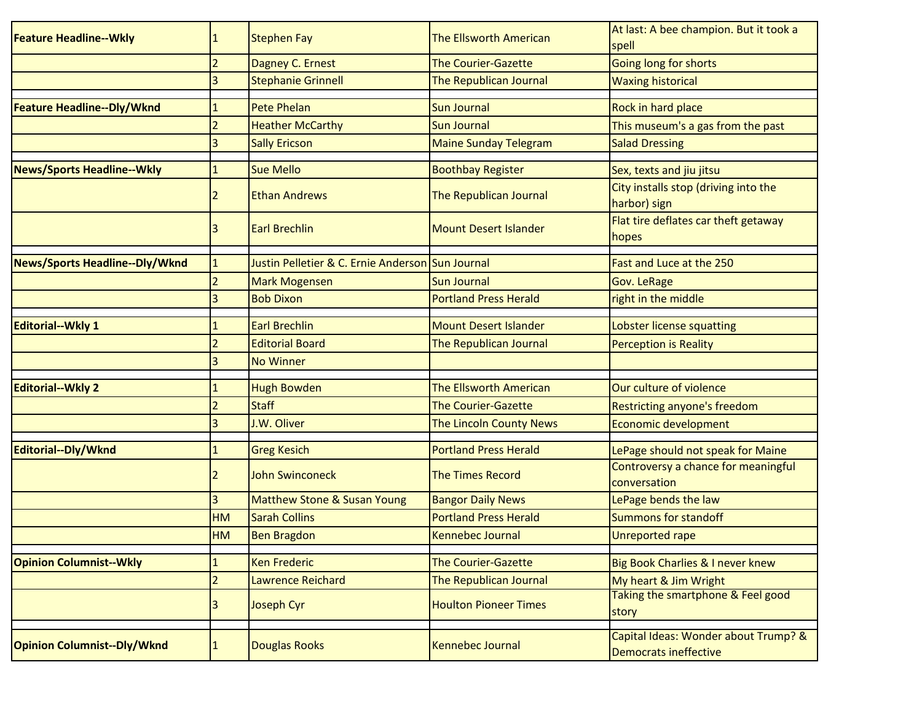| <b>Feature Headline--Wkly</b>      | 1              | <b>Stephen Fay</b>                               | The Ellsworth American       | At last: A bee champion. But it took a<br>spell                      |
|------------------------------------|----------------|--------------------------------------------------|------------------------------|----------------------------------------------------------------------|
|                                    | $\overline{2}$ | Dagney C. Ernest                                 | <b>The Courier-Gazette</b>   | Going long for shorts                                                |
|                                    | 3              | <b>Stephanie Grinnell</b>                        | The Republican Journal       | <b>Waxing historical</b>                                             |
| Feature Headline--Dly/Wknd         |                | <b>Pete Phelan</b>                               | Sun Journal                  | Rock in hard place                                                   |
|                                    | $\overline{2}$ | <b>Heather McCarthy</b>                          | <b>Sun Journal</b>           | This museum's a gas from the past                                    |
|                                    | 3              | <b>Sally Ericson</b>                             | <b>Maine Sunday Telegram</b> | <b>Salad Dressing</b>                                                |
| <b>News/Sports Headline--Wkly</b>  |                | <b>Sue Mello</b>                                 | <b>Boothbay Register</b>     | Sex, texts and jiu jitsu                                             |
|                                    | 2              | <b>Ethan Andrews</b>                             | The Republican Journal       | City installs stop (driving into the<br>harbor) sign                 |
|                                    | 3              | <b>Earl Brechlin</b>                             | <b>Mount Desert Islander</b> | Flat tire deflates car theft getaway<br>hopes                        |
| News/Sports Headline--Dly/Wknd     | $\mathbf{1}$   | Justin Pelletier & C. Ernie Anderson Sun Journal |                              | Fast and Luce at the 250                                             |
|                                    |                | <b>Mark Mogensen</b>                             | <b>Sun Journal</b>           | <b>Gov. LeRage</b>                                                   |
|                                    | 3              | <b>Bob Dixon</b>                                 | <b>Portland Press Herald</b> | right in the middle                                                  |
| <b>Editorial--Wkly 1</b>           | 1              | <b>Earl Brechlin</b>                             | <b>Mount Desert Islander</b> | Lobster license squatting                                            |
|                                    |                | <b>Editorial Board</b>                           | The Republican Journal       | <b>Perception is Reality</b>                                         |
|                                    | 3              | <b>No Winner</b>                                 |                              |                                                                      |
| <b>Editorial--Wkly 2</b>           | 1              | <b>Hugh Bowden</b>                               | The Ellsworth American       | Our culture of violence                                              |
|                                    | $\overline{2}$ | <b>Staff</b>                                     | <b>The Courier-Gazette</b>   | Restricting anyone's freedom                                         |
|                                    | $\overline{3}$ | J.W. Oliver                                      | The Lincoln County News      | Economic development                                                 |
| Editorial--Dly/Wknd                | 1              | <b>Greg Kesich</b>                               | <b>Portland Press Herald</b> | LePage should not speak for Maine                                    |
|                                    | 2              | <b>John Swinconeck</b>                           | <b>The Times Record</b>      | Controversy a chance for meaningful<br>conversation                  |
|                                    | 3              | Matthew Stone & Susan Young                      | <b>Bangor Daily News</b>     | LePage bends the law                                                 |
|                                    | <b>HM</b>      | <b>Sarah Collins</b>                             | <b>Portland Press Herald</b> | <b>Summons for standoff</b>                                          |
|                                    | HM             | <b>Ben Bragdon</b>                               | Kennebec Journal             | <b>Unreported rape</b>                                               |
| <b>Opinion Columnist--Wkly</b>     | $\mathbf{1}$   | <b>Ken Frederic</b>                              | <b>The Courier-Gazette</b>   | Big Book Charlies & I never knew                                     |
|                                    | $\overline{a}$ | Lawrence Reichard                                | The Republican Journal       | My heart & Jim Wright                                                |
|                                    | 3              | Joseph Cyr                                       | <b>Houlton Pioneer Times</b> | Taking the smartphone & Feel good<br>story                           |
| <b>Opinion Columnist--Dly/Wknd</b> |                | <b>Douglas Rooks</b>                             | <b>Kennebec Journal</b>      | Capital Ideas: Wonder about Trump? &<br><b>Democrats ineffective</b> |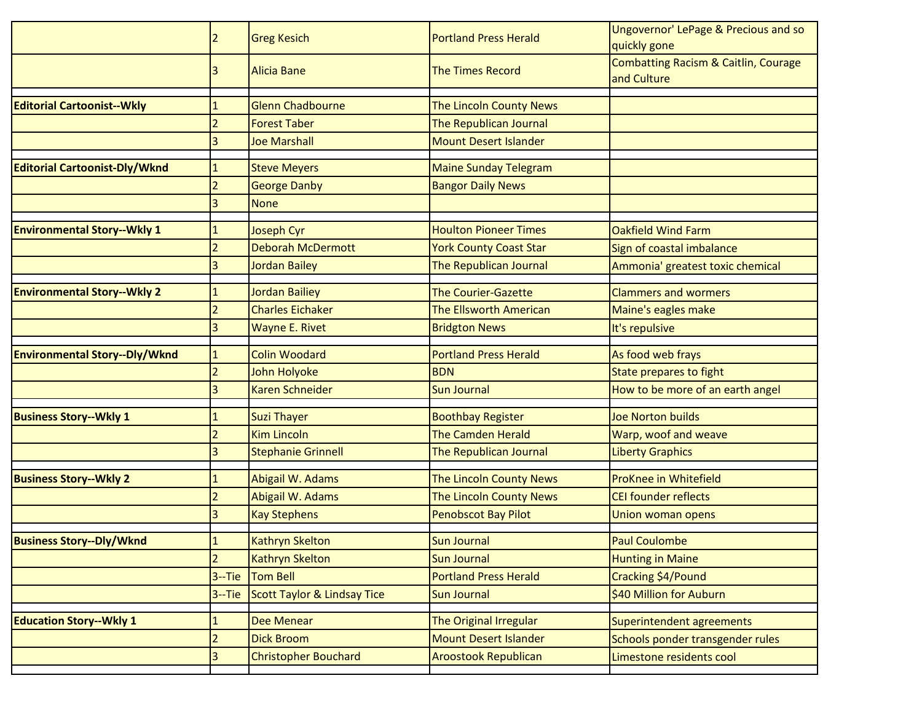|                                      | 2              | <b>Greg Kesich</b>          | <b>Portland Press Herald</b>  | Ungovernor' LePage & Precious and so<br>quickly gone           |
|--------------------------------------|----------------|-----------------------------|-------------------------------|----------------------------------------------------------------|
|                                      | 3              | <b>Alicia Bane</b>          | <b>The Times Record</b>       | <b>Combatting Racism &amp; Caitlin, Courage</b><br>and Culture |
| <b>Editorial Cartoonist--Wkly</b>    |                | Glenn Chadbourne            | The Lincoln County News       |                                                                |
|                                      |                | <b>Forest Taber</b>         | The Republican Journal        |                                                                |
|                                      | 3              | <b>Joe Marshall</b>         | <b>Mount Desert Islander</b>  |                                                                |
| <b>Editorial Cartoonist-Dly/Wknd</b> |                | <b>Steve Meyers</b>         | <b>Maine Sunday Telegram</b>  |                                                                |
|                                      |                | <b>George Danby</b>         | <b>Bangor Daily News</b>      |                                                                |
|                                      | 3              | <b>None</b>                 |                               |                                                                |
| <b>Environmental Story--Wkly 1</b>   |                | <b>Joseph Cyr</b>           | <b>Houlton Pioneer Times</b>  | <b>Oakfield Wind Farm</b>                                      |
|                                      |                | <b>Deborah McDermott</b>    | <b>York County Coast Star</b> | Sign of coastal imbalance                                      |
|                                      |                | <b>Jordan Bailey</b>        | The Republican Journal        | Ammonia' greatest toxic chemical                               |
| <b>Environmental Story--Wkly 2</b>   |                | Jordan Bailiey              | <b>The Courier-Gazette</b>    | <b>Clammers and wormers</b>                                    |
|                                      | $\overline{2}$ | <b>Charles Eichaker</b>     | <b>The Ellsworth American</b> | Maine's eagles make                                            |
|                                      | 3              | Wayne E. Rivet              | <b>Bridgton News</b>          | It's repulsive                                                 |
| <b>Environmental Story--Dly/Wknd</b> |                | <b>Colin Woodard</b>        | <b>Portland Press Herald</b>  | As food web frays                                              |
|                                      |                | John Holyoke                | <b>BDN</b>                    | <b>State prepares to fight</b>                                 |
|                                      | 3              | <b>Karen Schneider</b>      | <b>Sun Journal</b>            | How to be more of an earth angel                               |
| <b>Business Story--Wkly 1</b>        |                | <b>Suzi Thayer</b>          | <b>Boothbay Register</b>      | <b>Joe Norton builds</b>                                       |
|                                      |                | <b>Kim Lincoln</b>          | <b>The Camden Herald</b>      | Warp, woof and weave                                           |
|                                      |                | <b>Stephanie Grinnell</b>   | The Republican Journal        | <b>Liberty Graphics</b>                                        |
| <b>Business Story--Wkly 2</b>        |                | Abigail W. Adams            | The Lincoln County News       | ProKnee in Whitefield                                          |
|                                      |                | Abigail W. Adams            | The Lincoln County News       | <b>CEI founder reflects</b>                                    |
|                                      | 3              | <b>Kay Stephens</b>         | <b>Penobscot Bay Pilot</b>    | Union woman opens                                              |
| <b>Business Story--Dly/Wknd</b>      | $\mathbf{1}$   | <b>Kathryn Skelton</b>      | <b>Sun Journal</b>            | <b>Paul Coulombe</b>                                           |
|                                      | $\overline{2}$ | <b>Kathryn Skelton</b>      | <b>Sun Journal</b>            | <b>Hunting in Maine</b>                                        |
|                                      |                | 3--Tie Tom Bell             | <b>Portland Press Herald</b>  | Cracking \$4/Pound                                             |
|                                      | $3 -$ Tie      | Scott Taylor & Lindsay Tice | <b>Sun Journal</b>            | \$40 Million for Auburn                                        |
| <b>Education Story--Wkly 1</b>       | $\mathbf{1}$   | <b>Dee Menear</b>           | The Original Irregular        | Superintendent agreements                                      |
|                                      | $\overline{a}$ | <b>Dick Broom</b>           | <b>Mount Desert Islander</b>  | Schools ponder transgender rules                               |
|                                      | 3              | <b>Christopher Bouchard</b> | <b>Aroostook Republican</b>   | Limestone residents cool                                       |
|                                      |                |                             |                               |                                                                |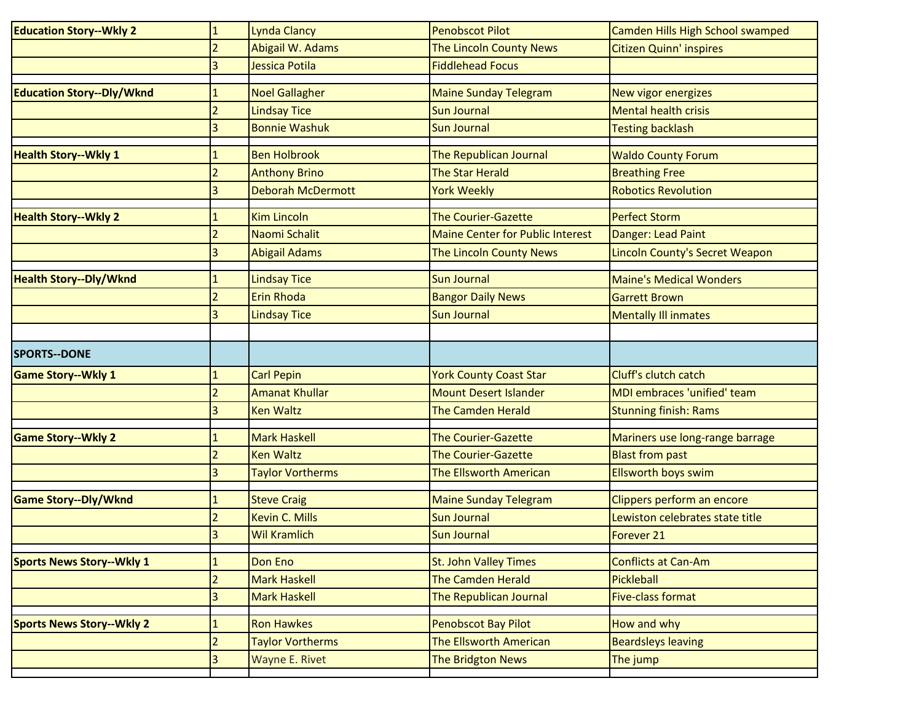| <b>Education Story--Wkly 2</b>   | $\mathbf{1}$   | <b>Lynda Clancy</b>      | <b>Penobscot Pilot</b>                  | Camden Hills High School swamped |
|----------------------------------|----------------|--------------------------|-----------------------------------------|----------------------------------|
|                                  | $\overline{2}$ | Abigail W. Adams         | The Lincoln County News                 | Citizen Quinn' inspires          |
|                                  | 3              | Jessica Potila           | <b>Fiddlehead Focus</b>                 |                                  |
| <b>Education Story--Dly/Wknd</b> |                | <b>Noel Gallagher</b>    | <b>Maine Sunday Telegram</b>            |                                  |
|                                  |                |                          |                                         | New vigor energizes              |
|                                  | $\overline{2}$ | <b>Lindsay Tice</b>      | <b>Sun Journal</b>                      | <b>Mental health crisis</b>      |
|                                  | 3              | <b>Bonnie Washuk</b>     | <b>Sun Journal</b>                      | <b>Testing backlash</b>          |
| <b>Health Story--Wkly 1</b>      |                | <b>Ben Holbrook</b>      | The Republican Journal                  | <b>Waldo County Forum</b>        |
|                                  | 2              | <b>Anthony Brino</b>     | <b>The Star Herald</b>                  | <b>Breathing Free</b>            |
|                                  | 3              | <b>Deborah McDermott</b> | <b>York Weekly</b>                      | <b>Robotics Revolution</b>       |
| <b>Health Story--Wkly 2</b>      | $\mathbf{1}$   | <b>Kim Lincoln</b>       | <b>The Courier-Gazette</b>              | <b>Perfect Storm</b>             |
|                                  | $\overline{2}$ | Naomi Schalit            | <b>Maine Center for Public Interest</b> | Danger: Lead Paint               |
|                                  |                | <b>Abigail Adams</b>     | The Lincoln County News                 | Lincoln County's Secret Weapon   |
|                                  |                |                          |                                         |                                  |
| <b>Health Story--Dly/Wknd</b>    | $\mathbf{1}$   | <b>Lindsay Tice</b>      | <b>Sun Journal</b>                      | <b>Maine's Medical Wonders</b>   |
|                                  | $\overline{2}$ | Erin Rhoda               | <b>Bangor Daily News</b>                | <b>Garrett Brown</b>             |
|                                  | 3              | <b>Lindsay Tice</b>      | <b>Sun Journal</b>                      | <b>Mentally Ill inmates</b>      |
|                                  |                |                          |                                         |                                  |
| <b>SPORTS--DONE</b>              |                |                          |                                         |                                  |
| <b>Game Story--Wkly 1</b>        | $\mathbf{1}$   | <b>Carl Pepin</b>        | <b>York County Coast Star</b>           | Cluff's clutch catch             |
|                                  | $\overline{2}$ | <b>Amanat Khullar</b>    | <b>Mount Desert Islander</b>            | MDI embraces 'unified' team      |
|                                  | 3              | <b>Ken Waltz</b>         | <b>The Camden Herald</b>                | <b>Stunning finish: Rams</b>     |
| <b>Game Story--Wkly 2</b>        |                | <b>Mark Haskell</b>      | <b>The Courier-Gazette</b>              | Mariners use long-range barrage  |
|                                  | 2              | <b>Ken Waltz</b>         | <b>The Courier-Gazette</b>              | <b>Blast from past</b>           |
|                                  | 3              | <b>Taylor Vortherms</b>  | The Ellsworth American                  | <b>Ellsworth boys swim</b>       |
| <b>Game Story--Dly/Wknd</b>      | $\mathbf{1}$   | <b>Steve Craig</b>       | <b>Maine Sunday Telegram</b>            | Clippers perform an encore       |
|                                  | $\overline{2}$ | <b>Kevin C. Mills</b>    | <b>Sun Journal</b>                      | Lewiston celebrates state title  |
|                                  | 3              | <b>Wil Kramlich</b>      | <b>Sun Journal</b>                      | Forever <sub>21</sub>            |
|                                  |                |                          |                                         |                                  |
| <b>Sports News Story--Wkly 1</b> | $\mathbf{1}$   | Don Eno                  | <b>St. John Valley Times</b>            | Conflicts at Can-Am              |
|                                  | $\overline{2}$ | <b>Mark Haskell</b>      | The Camden Herald                       | Pickleball                       |
|                                  | 3              | <b>Mark Haskell</b>      | The Republican Journal                  | <b>Five-class format</b>         |
| <b>Sports News Story--Wkly 2</b> | $\mathbf{1}$   | <b>Ron Hawkes</b>        | <b>Penobscot Bay Pilot</b>              | How and why                      |
|                                  | 2              | <b>Taylor Vortherms</b>  | The Ellsworth American                  | <b>Beardsleys leaving</b>        |
|                                  | 3              | <b>Wayne E. Rivet</b>    | <b>The Bridgton News</b>                | The jump                         |
|                                  |                |                          |                                         |                                  |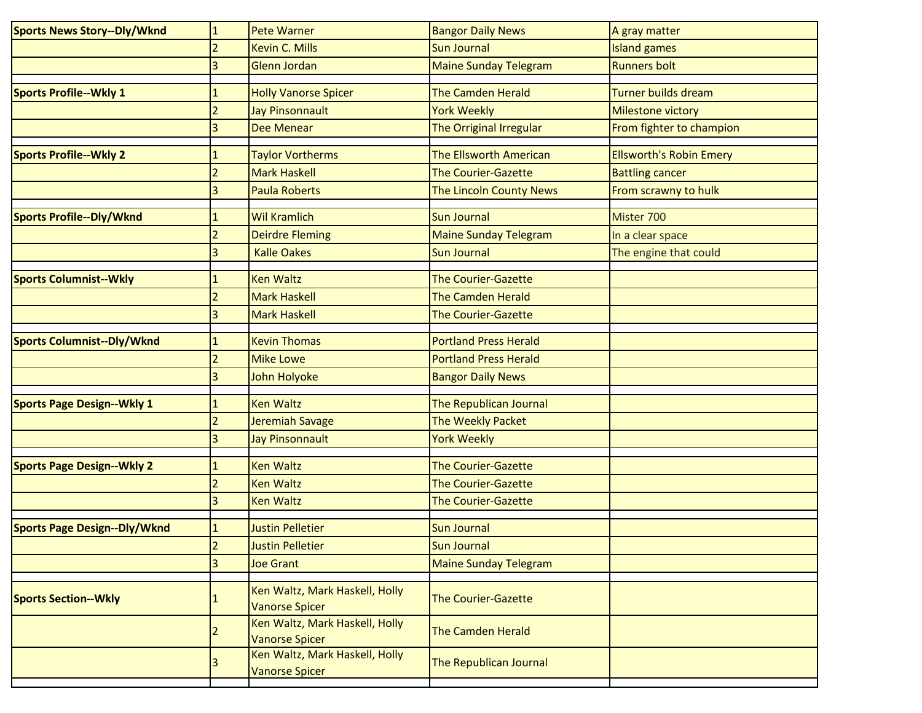| <b>Sports News Story--Dly/Wknd</b>  | $\mathbf{1}$   | <b>Pete Warner</b>                                      | <b>Bangor Daily News</b>     | A gray matter                  |
|-------------------------------------|----------------|---------------------------------------------------------|------------------------------|--------------------------------|
|                                     | $\overline{2}$ | <b>Kevin C. Mills</b>                                   | <b>Sun Journal</b>           | <b>Island games</b>            |
|                                     | 3              | Glenn Jordan                                            | <b>Maine Sunday Telegram</b> | <b>Runners bolt</b>            |
| <b>Sports Profile--Wkly 1</b>       |                | <b>Holly Vanorse Spicer</b>                             | <b>The Camden Herald</b>     | <b>Turner builds dream</b>     |
|                                     | $\overline{a}$ | Jay Pinsonnault                                         | <b>York Weekly</b>           | Milestone victory              |
|                                     | 3              | <b>Dee Menear</b>                                       | The Orriginal Irregular      | From fighter to champion       |
| <b>Sports Profile--Wkly 2</b>       |                | <b>Taylor Vortherms</b>                                 | The Ellsworth American       | <b>Ellsworth's Robin Emery</b> |
|                                     | 2              | <b>Mark Haskell</b>                                     | <b>The Courier-Gazette</b>   | <b>Battling cancer</b>         |
|                                     | 3              | <b>Paula Roberts</b>                                    | The Lincoln County News      | From scrawny to hulk           |
| <b>Sports Profile--Dly/Wknd</b>     | 1              | <b>Wil Kramlich</b>                                     | <b>Sun Journal</b>           | Mister 700                     |
|                                     | $\overline{2}$ | <b>Deirdre Fleming</b>                                  | <b>Maine Sunday Telegram</b> | In a clear space               |
|                                     | 3              | <b>Kalle Oakes</b>                                      | <b>Sun Journal</b>           | The engine that could          |
| <b>Sports Columnist--Wkly</b>       | 1              | <b>Ken Waltz</b>                                        | <b>The Courier-Gazette</b>   |                                |
|                                     | $\overline{2}$ | <b>Mark Haskell</b>                                     | <b>The Camden Herald</b>     |                                |
|                                     | 3              | <b>Mark Haskell</b>                                     | <b>The Courier-Gazette</b>   |                                |
| <b>Sports Columnist--Dly/Wknd</b>   | $\mathbf{1}$   | <b>Kevin Thomas</b>                                     | <b>Portland Press Herald</b> |                                |
|                                     | $\overline{a}$ | <b>Mike Lowe</b>                                        | <b>Portland Press Herald</b> |                                |
|                                     | 3              | John Holyoke                                            | <b>Bangor Daily News</b>     |                                |
| <b>Sports Page Design--Wkly 1</b>   | 1              | <b>Ken Waltz</b>                                        | The Republican Journal       |                                |
|                                     | $\overline{2}$ | Jeremiah Savage                                         | The Weekly Packet            |                                |
|                                     | 3              | <b>Jay Pinsonnault</b>                                  | <b>York Weekly</b>           |                                |
| <b>Sports Page Design--Wkly 2</b>   |                | <b>Ken Waltz</b>                                        | <b>The Courier-Gazette</b>   |                                |
|                                     | $\overline{2}$ | <b>Ken Waltz</b>                                        | <b>The Courier-Gazette</b>   |                                |
|                                     | 3              | <b>Ken Waltz</b>                                        | <b>The Courier-Gazette</b>   |                                |
| <b>Sports Page Design--Dly/Wknd</b> | 1              | <b>Justin Pelletier</b>                                 | <b>Sun Journal</b>           |                                |
|                                     | 2              | <b>Justin Pelletier</b>                                 | <b>Sun Journal</b>           |                                |
|                                     | 3              | <b>Joe Grant</b>                                        | <b>Maine Sunday Telegram</b> |                                |
| <b>Sports Section--Wkly</b>         |                | Ken Waltz, Mark Haskell, Holly<br><b>Vanorse Spicer</b> | <b>The Courier-Gazette</b>   |                                |
|                                     |                | Ken Waltz, Mark Haskell, Holly<br><b>Vanorse Spicer</b> | <b>The Camden Herald</b>     |                                |
|                                     |                | Ken Waltz, Mark Haskell, Holly<br><b>Vanorse Spicer</b> | The Republican Journal       |                                |
|                                     |                |                                                         |                              |                                |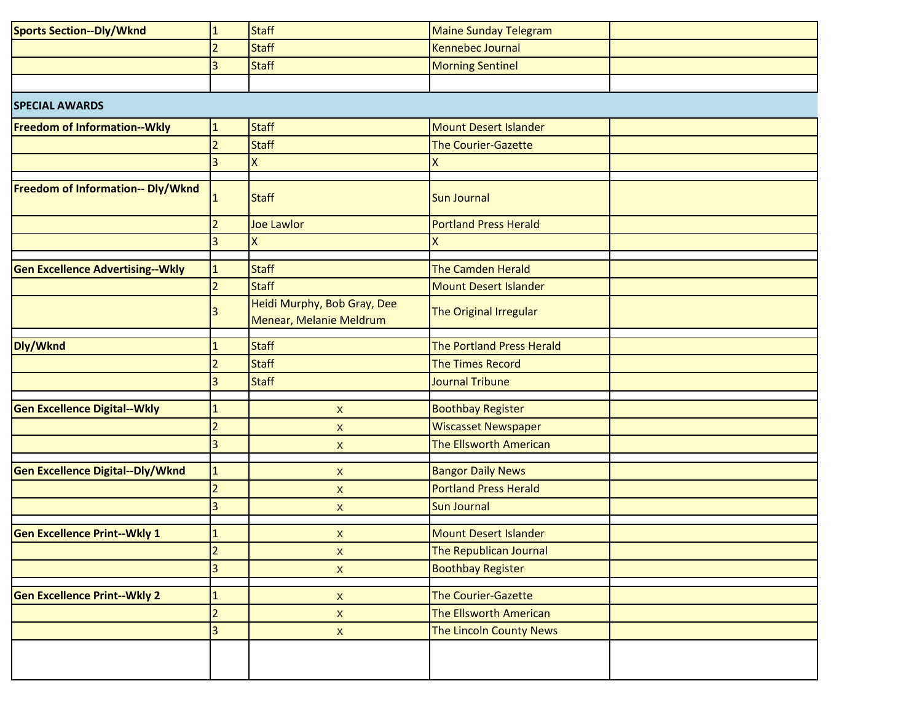| <b>Sports Section--Dly/Wknd</b>          | $\mathbf{1}$            | <b>Staff</b>                                           | <b>Maine Sunday Telegram</b>                         |  |
|------------------------------------------|-------------------------|--------------------------------------------------------|------------------------------------------------------|--|
|                                          | 2                       | <b>Staff</b>                                           | Kennebec Journal                                     |  |
|                                          | 3                       | <b>Staff</b>                                           | <b>Morning Sentinel</b>                              |  |
|                                          |                         |                                                        |                                                      |  |
| <b>SPECIAL AWARDS</b>                    |                         |                                                        |                                                      |  |
| <b>Freedom of Information--Wkly</b>      | $\mathbf{1}$            | <b>Staff</b>                                           | <b>Mount Desert Islander</b>                         |  |
|                                          | $\overline{2}$          | <b>Staff</b>                                           | <b>The Courier-Gazette</b>                           |  |
|                                          | 3                       | X                                                      | χ                                                    |  |
|                                          |                         |                                                        |                                                      |  |
| <b>Freedom of Information-- Dly/Wknd</b> | $\mathbf{1}$            | <b>Staff</b>                                           | <b>Sun Journal</b>                                   |  |
|                                          |                         | <b>Joe Lawlor</b>                                      | <b>Portland Press Herald</b>                         |  |
|                                          | $\overline{3}$          | $\pmb{\mathsf{X}}$                                     | Χ                                                    |  |
| <b>Gen Excellence Advertising--Wkly</b>  | $\mathbf{1}$            | <b>Staff</b>                                           | The Camden Herald                                    |  |
|                                          | $\overline{2}$          | <b>Staff</b>                                           | <b>Mount Desert Islander</b>                         |  |
|                                          |                         | Heidi Murphy, Bob Gray, Dee<br>Menear, Melanie Meldrum | The Original Irregular                               |  |
|                                          |                         |                                                        |                                                      |  |
| Dly/Wknd                                 | $\mathbf{1}$            | <b>Staff</b><br><b>Staff</b>                           | The Portland Press Herald<br><b>The Times Record</b> |  |
|                                          | $\overline{2}$          |                                                        |                                                      |  |
|                                          | 3                       | <b>Staff</b>                                           | Journal Tribune                                      |  |
| <b>Gen Excellence Digital--Wkly</b>      | $\mathbf{1}$            | $\pmb{\mathsf{X}}$                                     | <b>Boothbay Register</b>                             |  |
|                                          | $\overline{2}$          | $\boldsymbol{\mathsf{X}}$                              | <b>Wiscasset Newspaper</b>                           |  |
|                                          | 3                       | X                                                      | <b>The Ellsworth American</b>                        |  |
| <b>Gen Excellence Digital--Dly/Wknd</b>  | $\mathbf{1}$            | X                                                      | <b>Bangor Daily News</b>                             |  |
|                                          | $\overline{2}$          | X                                                      | <b>Portland Press Herald</b>                         |  |
|                                          | $\overline{3}$          | X                                                      | <b>Sun Journal</b>                                   |  |
|                                          |                         |                                                        |                                                      |  |
| <b>Gen Excellence Print--Wkly 1</b>      | $\mathbf{1}$            | X                                                      | <b>Mount Desert Islander</b>                         |  |
|                                          | $\overline{2}$          | $\boldsymbol{\mathsf{X}}$                              | The Republican Journal                               |  |
|                                          | $\overline{\mathbf{3}}$ | $\mathsf X$                                            | <b>Boothbay Register</b>                             |  |
| <b>Gen Excellence Print--Wkly 2</b>      | $\mathbf{1}$            | $\boldsymbol{\mathsf{X}}$                              | The Courier-Gazette                                  |  |
|                                          | $\overline{2}$          | $\boldsymbol{\mathsf{X}}$                              | The Ellsworth American                               |  |
|                                          | $\overline{3}$          | $\boldsymbol{\mathsf{X}}$                              | The Lincoln County News                              |  |
|                                          |                         |                                                        |                                                      |  |
|                                          |                         |                                                        |                                                      |  |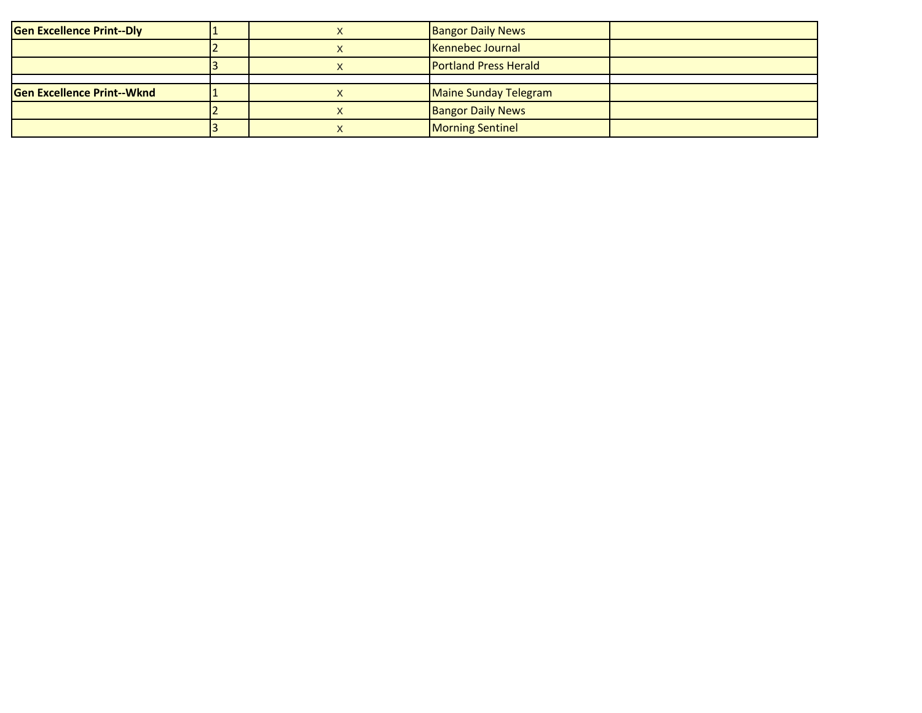| <b>Gen Excellence Print--Dly</b>  |  | <b>Bangor Daily News</b>     |  |
|-----------------------------------|--|------------------------------|--|
|                                   |  | Kennebec Journal             |  |
|                                   |  | <b>Portland Press Herald</b> |  |
|                                   |  |                              |  |
| <b>Gen Excellence Print--Wknd</b> |  | Maine Sunday Telegram        |  |
|                                   |  | <b>Bangor Daily News</b>     |  |
|                                   |  | Morning Sentinel             |  |